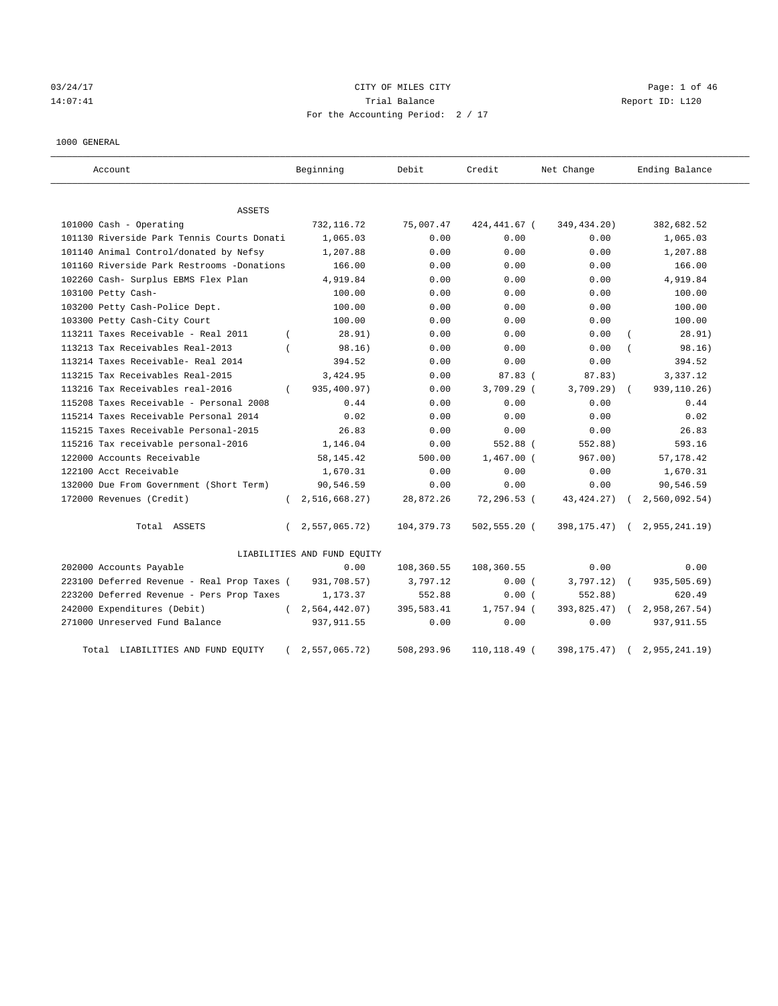# 03/24/17 Page: 1 of 46 14:07:41 Trial Balance Report ID: L120 For the Accounting Period: 2 / 17

#### 1000 GENERAL

| Account                                     |          | Beginning                   | Debit       | Credit          | Net Change    | Ending Balance |
|---------------------------------------------|----------|-----------------------------|-------------|-----------------|---------------|----------------|
| ASSETS                                      |          |                             |             |                 |               |                |
| 101000 Cash - Operating                     |          | 732, 116.72                 | 75,007.47   | 424,441.67 (    | 349,434.20)   | 382,682.52     |
| 101130 Riverside Park Tennis Courts Donati  |          | 1,065.03                    | 0.00        | 0.00            | 0.00          | 1,065.03       |
| 101140 Animal Control/donated by Nefsy      |          | 1,207.88                    | 0.00        | 0.00            | 0.00          | 1,207.88       |
| 101160 Riverside Park Restrooms -Donations  |          | 166.00                      | 0.00        | 0.00            | 0.00          | 166.00         |
| 102260 Cash- Surplus EBMS Flex Plan         |          | 4,919.84                    | 0.00        | 0.00            | 0.00          | 4,919.84       |
| 103100 Petty Cash-                          |          | 100.00                      | 0.00        | 0.00            | 0.00          | 100.00         |
| 103200 Petty Cash-Police Dept.              |          | 100.00                      | 0.00        | 0.00            | 0.00          | 100.00         |
| 103300 Petty Cash-City Court                |          | 100.00                      | 0.00        | 0.00            | 0.00          | 100.00         |
| 113211 Taxes Receivable - Real 2011         | $\left($ | 28.91)                      | 0.00        | 0.00            | 0.00          | 28.91)         |
| 113213 Tax Receivables Real-2013            |          | 98.16)                      | 0.00        | 0.00            | 0.00          | 98.16)         |
| 113214 Taxes Receivable- Real 2014          |          | 394.52                      | 0.00        | 0.00            | 0.00          | 394.52         |
| 113215 Tax Receivables Real-2015            |          | 3,424.95                    | 0.00        | 87.83(          | 87.83)        | 3,337.12       |
| 113216 Tax Receivables real-2016            | $\left($ | 935,400.97)                 | 0.00        | $3,709.29$ (    | 3,709.29)     | 939, 110. 26)  |
| 115208 Taxes Receivable - Personal 2008     |          | 0.44                        | 0.00        | 0.00            | 0.00          | 0.44           |
| 115214 Taxes Receivable Personal 2014       |          | 0.02                        | 0.00        | 0.00            | 0.00          | 0.02           |
| 115215 Taxes Receivable Personal-2015       |          | 26.83                       | 0.00        | 0.00            | 0.00          | 26.83          |
| 115216 Tax receivable personal-2016         |          | 1,146.04                    | 0.00        | 552.88 (        | 552.88)       | 593.16         |
| 122000 Accounts Receivable                  |          | 58, 145. 42                 | 500.00      | $1,467.00$ (    | 967.00)       | 57, 178.42     |
| 122100 Acct Receivable                      |          | 1,670.31                    | 0.00        | 0.00            | 0.00          | 1,670.31       |
| 132000 Due From Government (Short Term)     |          | 90,546.59                   | 0.00        | 0.00            | 0.00          | 90,546.59      |
| 172000 Revenues (Credit)                    | $\left($ | 2,516,668.27                | 28,872.26   | 72,296.53 (     | 43, 424. 27)  | 2,560,092.54)  |
| Total ASSETS                                | $\left($ | 2,557,065.72)               | 104, 379.73 | $502, 555.20$ ( | 398, 175. 47) | 2,955,241.19   |
|                                             |          | LIABILITIES AND FUND EQUITY |             |                 |               |                |
| 202000 Accounts Payable                     |          | 0.00                        | 108,360.55  | 108,360.55      | 0.00          | 0.00           |
| 223100 Deferred Revenue - Real Prop Taxes ( |          | 931,708.57)                 | 3,797.12    | 0.00(           | 3,797.12)     | 935,505.69)    |
| 223200 Deferred Revenue - Pers Prop Taxes   |          | 1,173.37                    | 552.88      | 0.00(           | 552.88)       | 620.49         |
| 242000 Expenditures (Debit)                 | $\left($ | 2,564,442.07)               | 395,583.41  | 1,757.94 (      | 393,825.47)   | 2,958,267.54)  |
| 271000 Unreserved Fund Balance              |          | 937, 911.55                 | 0.00        | 0.00            | 0.00          | 937, 911.55    |
| Total LIABILITIES AND FUND EQUITY           |          | 2,557,065.72)               | 508,293.96  | 110,118.49 (    | 398, 175. 47) | 2,955,241.19   |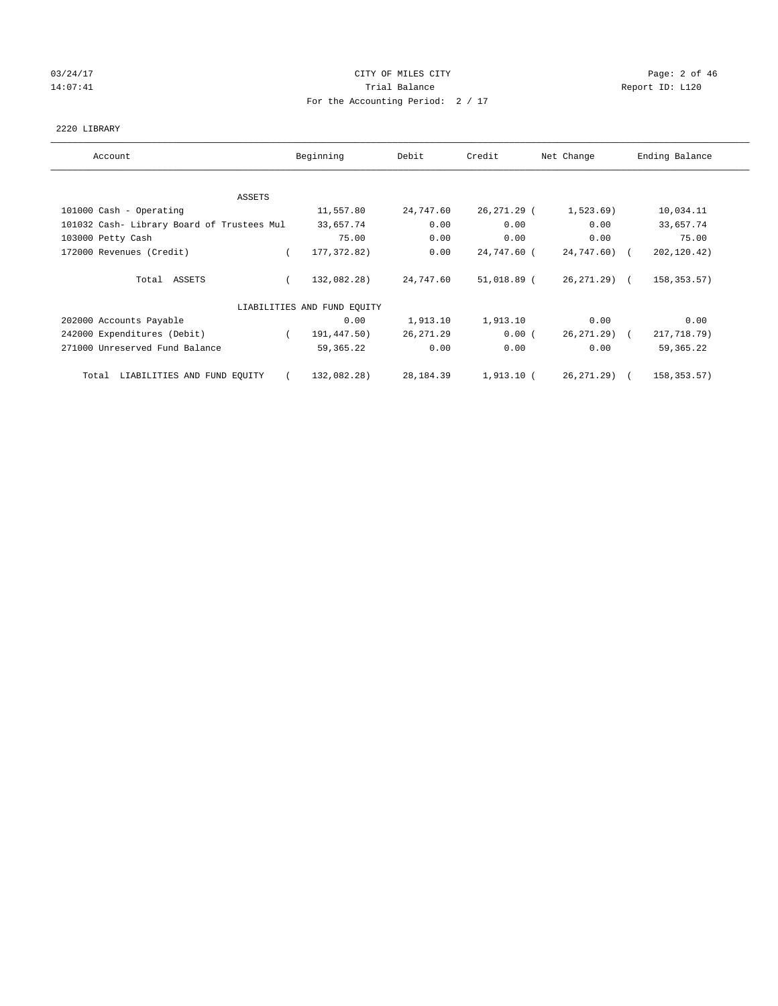# 03/24/17 Page: 2 of 46 14:07:41 CHEREN Report ID: L120 For the Accounting Period: 2 / 17

## 2220 LIBRARY

| Account                                    | Beginning                   | Debit      | Credit      | Net Change    | Ending Balance |
|--------------------------------------------|-----------------------------|------------|-------------|---------------|----------------|
| ASSETS                                     |                             |            |             |               |                |
| 101000 Cash - Operating                    | 11,557.80                   | 24,747.60  | 26,271.29 ( | 1,523.69      | 10,034.11      |
| 101032 Cash- Library Board of Trustees Mul | 33,657.74                   | 0.00       | 0.00        | 0.00          | 33,657.74      |
| 103000 Petty Cash                          | 75.00                       | 0.00       | 0.00        | 0.00          | 75.00          |
| 172000 Revenues (Credit)                   | 177, 372.82)<br>$\left($    | 0.00       | 24,747.60 ( | $24,747.60$ ( | 202,120.42)    |
| Total ASSETS                               | 132,082.28)                 | 24,747.60  | 51,018.89 ( | 26,271.29) (  | 158, 353. 57)  |
|                                            | LIABILITIES AND FUND EQUITY |            |             |               |                |
| 202000 Accounts Payable                    | 0.00                        | 1,913.10   | 1,913.10    | 0.00          | 0.00           |
| 242000 Expenditures (Debit)                | 191,447.50)                 | 26, 271.29 | 0.00(       | 26,271.29) (  | 217,718.79)    |
| 271000 Unreserved Fund Balance             | 59, 365. 22                 | 0.00       | 0.00        | 0.00          | 59, 365. 22    |
| LIABILITIES AND FUND EQUITY<br>Total       | 132,082.28)                 | 28,184.39  | 1,913.10 (  | 26,271.29) (  | 158,353.57)    |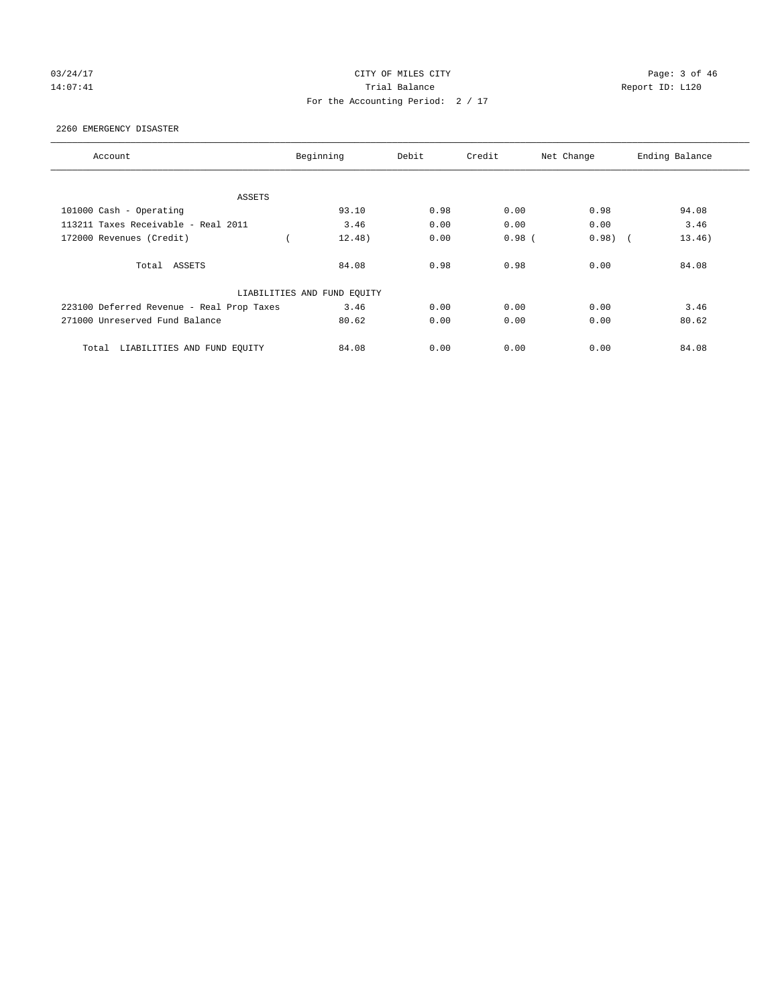# 03/24/17 Page: 3 of 46 14:07:41 CHEREN Report ID: L120 For the Accounting Period: 2 / 17

#### 2260 EMERGENCY DISASTER

| Account                                   | Beginning                   | Debit | Credit   | Net Change | Ending Balance |
|-------------------------------------------|-----------------------------|-------|----------|------------|----------------|
|                                           |                             |       |          |            |                |
| ASSETS                                    |                             |       |          |            |                |
| 101000 Cash - Operating                   | 93.10                       | 0.98  | 0.00     | 0.98       | 94.08          |
| 113211 Taxes Receivable - Real 2011       | 3.46                        | 0.00  | 0.00     | 0.00       | 3.46           |
| 172000 Revenues (Credit)                  | 12.48)                      | 0.00  | $0.98$ ( | 0.98)      | 13.46)         |
| Total ASSETS                              | 84.08                       | 0.98  | 0.98     | 0.00       | 84.08          |
|                                           | LIABILITIES AND FUND EQUITY |       |          |            |                |
| 223100 Deferred Revenue - Real Prop Taxes | 3.46                        | 0.00  | 0.00     | 0.00       | 3.46           |
| 271000 Unreserved Fund Balance            | 80.62                       | 0.00  | 0.00     | 0.00       | 80.62          |
| LIABILITIES AND FUND EQUITY<br>Total      | 84.08                       | 0.00  | 0.00     | 0.00       | 84.08          |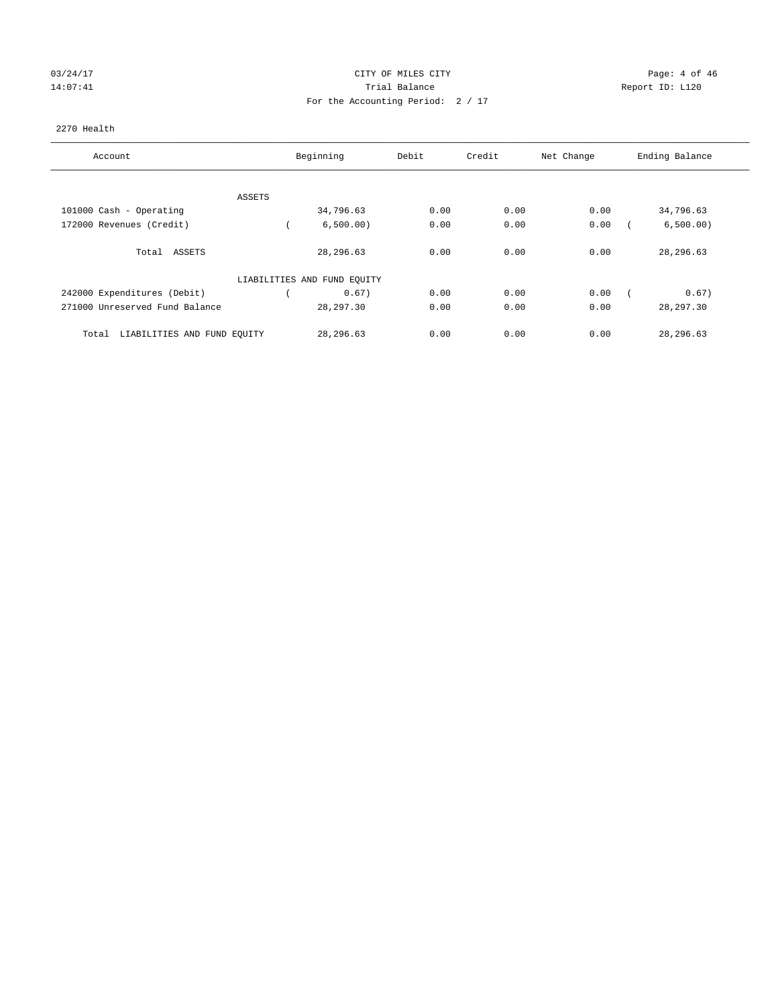# 03/24/17 Page: 4 of 46 14:07:41 CHEREN Report ID: L120 For the Accounting Period: 2 / 17

## 2270 Health

| Account                              | Beginning                   | Debit | Credit | Net Change | Ending Balance |
|--------------------------------------|-----------------------------|-------|--------|------------|----------------|
| ASSETS                               |                             |       |        |            |                |
| 101000 Cash - Operating              | 34,796.63                   | 0.00  | 0.00   | 0.00       | 34,796.63      |
| 172000 Revenues (Credit)             | 6,500.00)                   | 0.00  | 0.00   | 0.00       | 6,500.00)      |
| Total ASSETS                         | 28, 296.63                  | 0.00  | 0.00   | 0.00       | 28,296.63      |
|                                      | LIABILITIES AND FUND EQUITY |       |        |            |                |
| 242000 Expenditures (Debit)          | 0.67)                       | 0.00  | 0.00   | 0.00       | 0.67)          |
| 271000 Unreserved Fund Balance       | 28, 297.30                  | 0.00  | 0.00   | 0.00       | 28, 297.30     |
| LIABILITIES AND FUND EQUITY<br>Total | 28,296.63                   | 0.00  | 0.00   | 0.00       | 28,296.63      |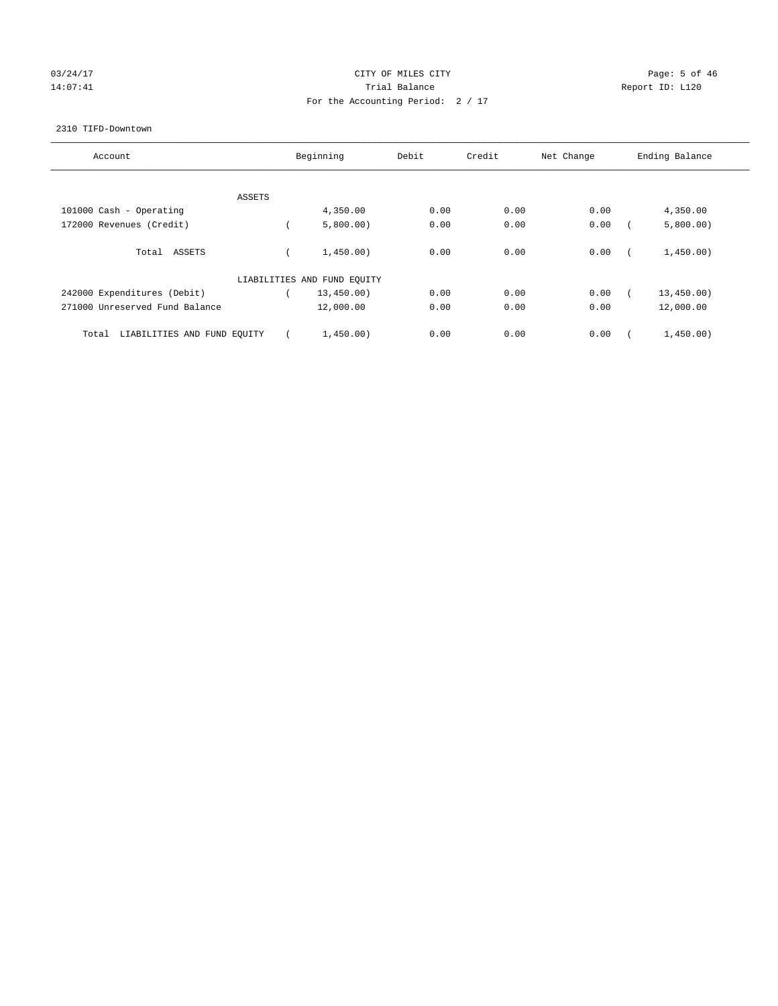# $03/24/17$  Page: 5 of 46 14:07:41 CHEREN Report ID: L120 For the Accounting Period: 2 / 17

#### 2310 TIFD-Downtown

| Account                              | Beginning                   | Debit | Credit | Net Change | Ending Balance |
|--------------------------------------|-----------------------------|-------|--------|------------|----------------|
|                                      |                             |       |        |            |                |
| ASSETS                               |                             |       |        |            |                |
| 101000 Cash - Operating              | 4,350.00                    | 0.00  | 0.00   | 0.00       | 4,350.00       |
| 172000 Revenues (Credit)             | 5,800.00)                   | 0.00  | 0.00   | 0.00       | 5,800.00)      |
| Total ASSETS                         | 1,450.00)                   | 0.00  | 0.00   | 0.00       | 1,450.00)      |
|                                      | LIABILITIES AND FUND EQUITY |       |        |            |                |
| 242000 Expenditures (Debit)          | 13,450.00)                  | 0.00  | 0.00   | 0.00       | 13,450.00)     |
| 271000 Unreserved Fund Balance       | 12,000.00                   | 0.00  | 0.00   | 0.00       | 12,000.00      |
| LIABILITIES AND FUND EQUITY<br>Total | 1,450.00)                   | 0.00  | 0.00   | 0.00       | 1,450.00)      |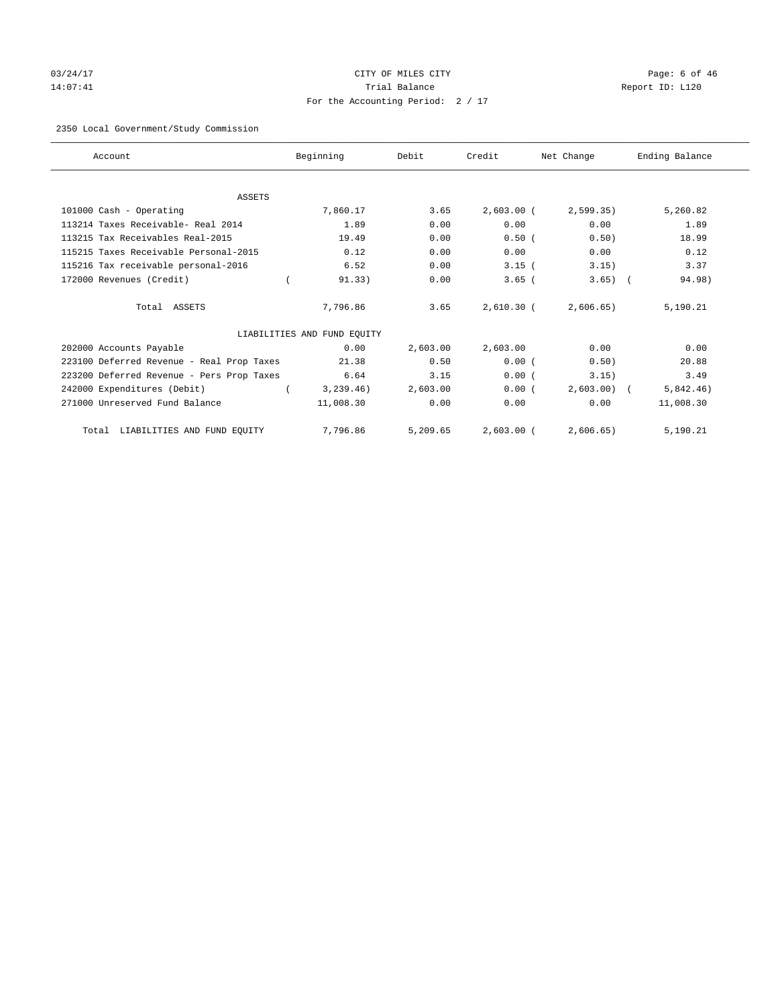# 03/24/17 Page: 6 of 46 14:07:41 CHEREN Report ID: L120 For the Accounting Period: 2 / 17

# 2350 Local Government/Study Commission

| Account                                   | Beginning                   | Debit    | Credit       | Net Change   | Ending Balance |
|-------------------------------------------|-----------------------------|----------|--------------|--------------|----------------|
|                                           |                             |          |              |              |                |
| <b>ASSETS</b>                             |                             |          |              |              |                |
| 101000 Cash - Operating                   | 7,860.17                    | 3.65     | $2,603.00$ ( | 2,599.35)    | 5,260.82       |
| 113214 Taxes Receivable- Real 2014        | 1.89                        | 0.00     | 0.00         | 0.00         | 1.89           |
| 113215 Tax Receivables Real-2015          | 19.49                       | 0.00     | 0.50(        | 0.50)        | 18.99          |
| 115215 Taxes Receivable Personal-2015     | 0.12                        | 0.00     | 0.00         | 0.00         | 0.12           |
| 115216 Tax receivable personal-2016       | 6.52                        | 0.00     | $3.15$ (     | 3.15)        | 3.37           |
| 172000 Revenues (Credit)                  | 91.33)                      | 0.00     | $3.65$ (     | $3.65)$ (    | 94.98)         |
| Total ASSETS                              | 7,796.86                    | 3.65     | 2,610.30 (   | 2,606.65     | 5,190.21       |
|                                           | LIABILITIES AND FUND EQUITY |          |              |              |                |
| 202000 Accounts Payable                   | 0.00                        | 2,603.00 | 2,603.00     | 0.00         | 0.00           |
| 223100 Deferred Revenue - Real Prop Taxes | 21.38                       | 0.50     | 0.00(        | 0.50)        | 20.88          |
| 223200 Deferred Revenue - Pers Prop Taxes | 6.64                        | 3.15     | 0.00(        | 3.15)        | 3.49           |
| 242000 Expenditures (Debit)               | 3, 239.46)                  | 2,603.00 | 0.00(        | $2,603.00$ ( | 5,842.46)      |
| 271000 Unreserved Fund Balance            | 11,008.30                   | 0.00     | 0.00         | 0.00         | 11,008.30      |
| Total LIABILITIES AND FUND EQUITY         | 7,796.86                    | 5,209.65 | $2,603.00$ ( | 2,606.65)    | 5,190.21       |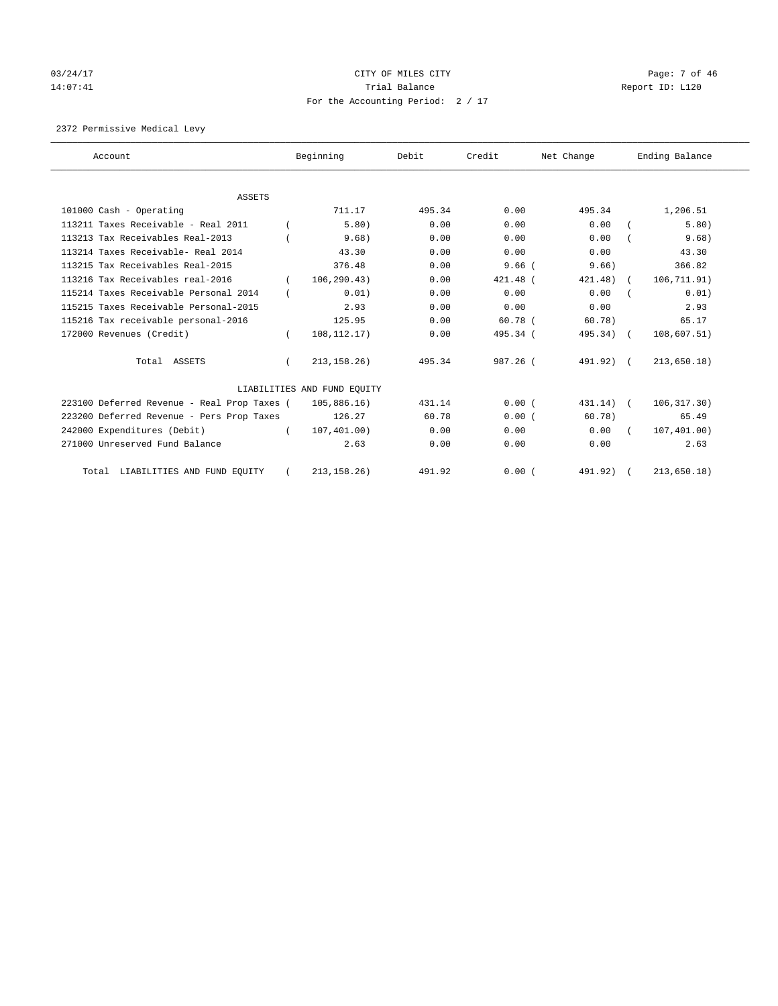# $03/24/17$  Page: 7 of 46 14:07:41 CHEREN Report ID: L120 For the Accounting Period: 2 / 17

2372 Permissive Medical Levy

| Account                                     |          | Beginning                   | Debit  | Credit     | Net Change   | Ending Balance |
|---------------------------------------------|----------|-----------------------------|--------|------------|--------------|----------------|
|                                             |          |                             |        |            |              |                |
| <b>ASSETS</b>                               |          |                             |        |            |              |                |
| 101000 Cash - Operating                     |          | 711.17                      | 495.34 | 0.00       | 495.34       | 1,206.51       |
| 113211 Taxes Receivable - Real 2011         |          | 5.80)                       | 0.00   | 0.00       | 0.00         | 5.80)          |
| 113213 Tax Receivables Real-2013            |          | 9.68)                       | 0.00   | 0.00       | 0.00         | 9.68)          |
| 113214 Taxes Receivable- Real 2014          |          | 43.30                       | 0.00   | 0.00       | 0.00         | 43.30          |
| 113215 Tax Receivables Real-2015            |          | 376.48                      | 0.00   | $9.66$ (   | 9.66         | 366.82         |
| 113216 Tax Receivables real-2016            |          | 106, 290.43)                | 0.00   | $421.48$ ( | $421.48$ ) ( | 106,711.91)    |
| 115214 Taxes Receivable Personal 2014       |          | 0.01)                       | 0.00   | 0.00       | 0.00         | 0.01)          |
| 115215 Taxes Receivable Personal-2015       |          | 2.93                        | 0.00   | 0.00       | 0.00         | 2.93           |
| 115216 Tax receivable personal-2016         |          | 125.95                      | 0.00   | $60.78$ (  | 60.78)       | 65.17          |
| 172000 Revenues (Credit)                    |          | 108, 112.17)                | 0.00   | 495.34 (   | 495.34) (    | 108,607.51)    |
| Total ASSETS                                |          | 213, 158, 26)               | 495.34 | 987.26 (   | 491.92) (    | 213,650.18)    |
|                                             |          | LIABILITIES AND FUND EQUITY |        |            |              |                |
| 223100 Deferred Revenue - Real Prop Taxes ( |          | 105,886.16)                 | 431.14 | 0.00(      | $431.14)$ (  | 106, 317.30)   |
| 223200 Deferred Revenue - Pers Prop Taxes   |          | 126.27                      | 60.78  | 0.00(      | 60.78)       | 65.49          |
| 242000 Expenditures (Debit)                 | $\left($ | 107, 401.00)                | 0.00   | 0.00       | 0.00         | 107,401.00)    |
| 271000 Unreserved Fund Balance              |          | 2.63                        | 0.00   | 0.00       | 0.00         | 2.63           |
| Total LIABILITIES AND FUND EQUITY           |          | 213, 158.26)                | 491.92 | 0.00(      | 491.92)      | 213,650.18)    |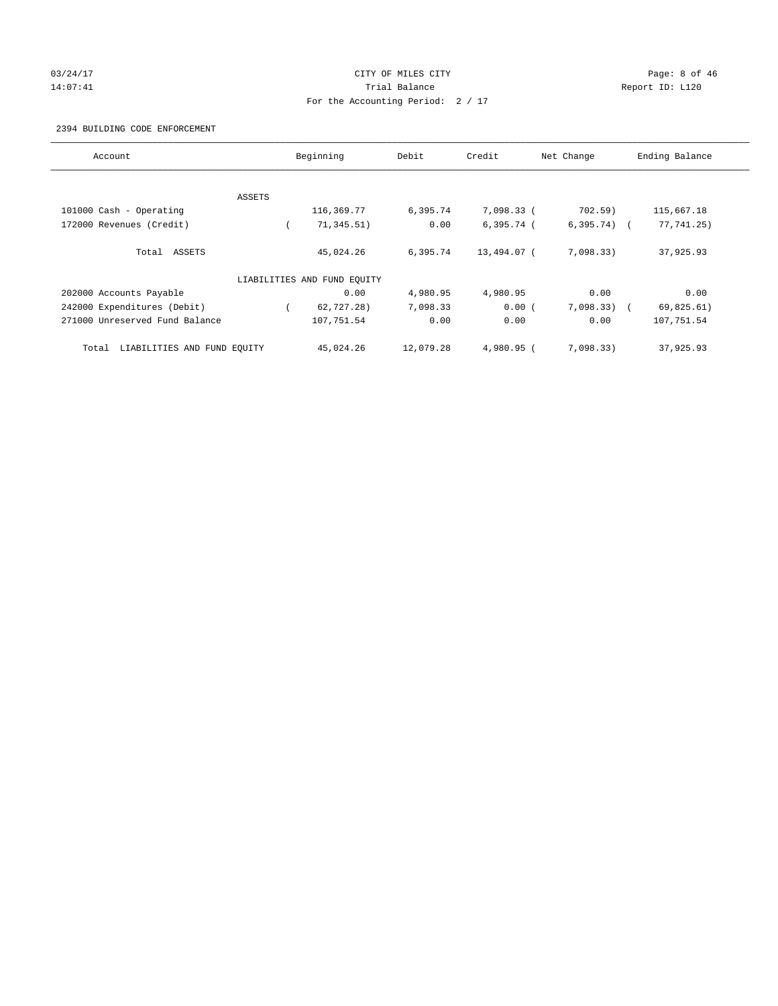# 03/24/17 Page: 8 of 46 14:07:41 Report ID: L120 For the Accounting Period: 2 / 17

#### 2394 BUILDING CODE ENFORCEMENT

| Account                              | Beginning                   | Debit     | Credit       | Net Change    | Ending Balance |
|--------------------------------------|-----------------------------|-----------|--------------|---------------|----------------|
|                                      |                             |           |              |               |                |
| ASSETS                               |                             |           |              |               |                |
| 101000 Cash - Operating              | 116,369.77                  | 6,395.74  | 7,098.33 (   | 702.59)       | 115,667.18     |
| 172000 Revenues (Credit)             | 71, 345.51)                 | 0.00      | $6,395.74$ ( | $6,395.74$ (  | 77,741.25)     |
| Total ASSETS                         | 45,024.26                   | 6,395.74  | 13,494.07 (  | 7,098.33)     | 37,925.93      |
|                                      | LIABILITIES AND FUND EQUITY |           |              |               |                |
| 202000 Accounts Payable              | 0.00                        | 4,980.95  | 4,980.95     | 0.00          | 0.00           |
| 242000 Expenditures (Debit)          | 62,727.28)                  | 7,098.33  | 0.00(        | $7,098.33)$ ( | 69,825.61)     |
| 271000 Unreserved Fund Balance       | 107,751.54                  | 0.00      | 0.00         | 0.00          | 107,751.54     |
| LIABILITIES AND FUND EQUITY<br>Total | 45,024.26                   | 12,079.28 | $4.980.95$ ( | 7.098.33)     | 37,925.93      |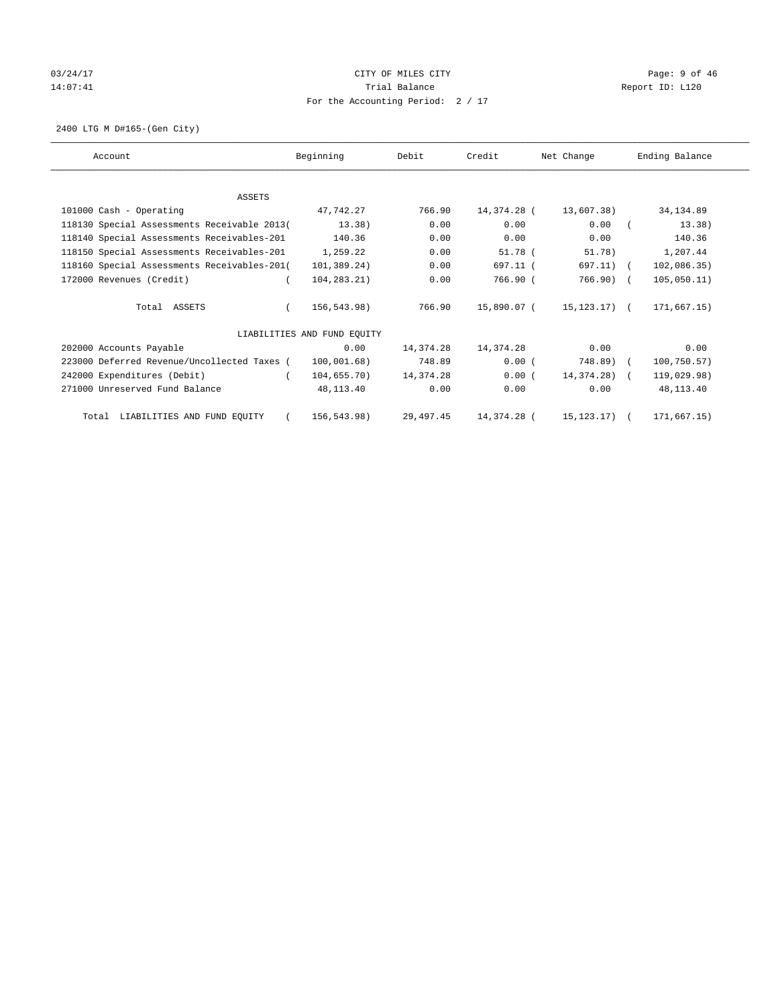# $03/24/17$  Page: 9 of 46 14:07:41 CHEREN Report ID: L120 For the Accounting Period: 2 / 17

2400 LTG M D#165-(Gen City)

| Account                                     | Beginning                   | Debit     | Credit      | Net Change       | Ending Balance |
|---------------------------------------------|-----------------------------|-----------|-------------|------------------|----------------|
|                                             |                             |           |             |                  |                |
| <b>ASSETS</b>                               |                             |           |             |                  |                |
| 101000 Cash - Operating                     | 47,742.27                   | 766.90    | 14,374.28 ( | 13,607.38)       | 34,134.89      |
| 118130 Special Assessments Receivable 2013( | 13.38)                      | 0.00      | 0.00        | 0.00             | 13.38)         |
| 118140 Special Assessments Receivables-201  | 140.36                      | 0.00      | 0.00        | 0.00             | 140.36         |
| 118150 Special Assessments Receivables-201  | 1,259.22                    | 0.00      | $51.78$ (   | 51.78)           | 1,207.44       |
| 118160 Special Assessments Receivables-201( | 101,389.24)                 | 0.00      | 697.11 (    | 697.11) (        | 102,086.35)    |
| 172000 Revenues (Credit)                    | 104,283.21)                 | 0.00      | 766.90 (    | 766.90) (        | 105,050.11)    |
| Total ASSETS                                | 156,543.98)                 | 766.90    | 15,890.07 ( | 15,123.17) (     | 171,667.15)    |
|                                             | LIABILITIES AND FUND EQUITY |           |             |                  |                |
| 202000 Accounts Payable                     | 0.00                        | 14,374.28 | 14,374.28   | 0.00             | 0.00           |
| 223000 Deferred Revenue/Uncollected Taxes ( | 100,001.68)                 | 748.89    | $0.00$ (    | 748.89) (        | 100,750.57)    |
| 242000 Expenditures (Debit)                 | 104,655.70)                 | 14,374.28 | 0.00(       | 14,374.28) (     | 119,029.98)    |
| 271000 Unreserved Fund Balance              | 48,113.40                   | 0.00      | 0.00        | 0.00             | 48,113.40      |
| Total LIABILITIES AND FUND EQUITY           | 156,543.98)                 | 29,497.45 | 14,374.28 ( | $15, 123, 17)$ ( | 171,667.15)    |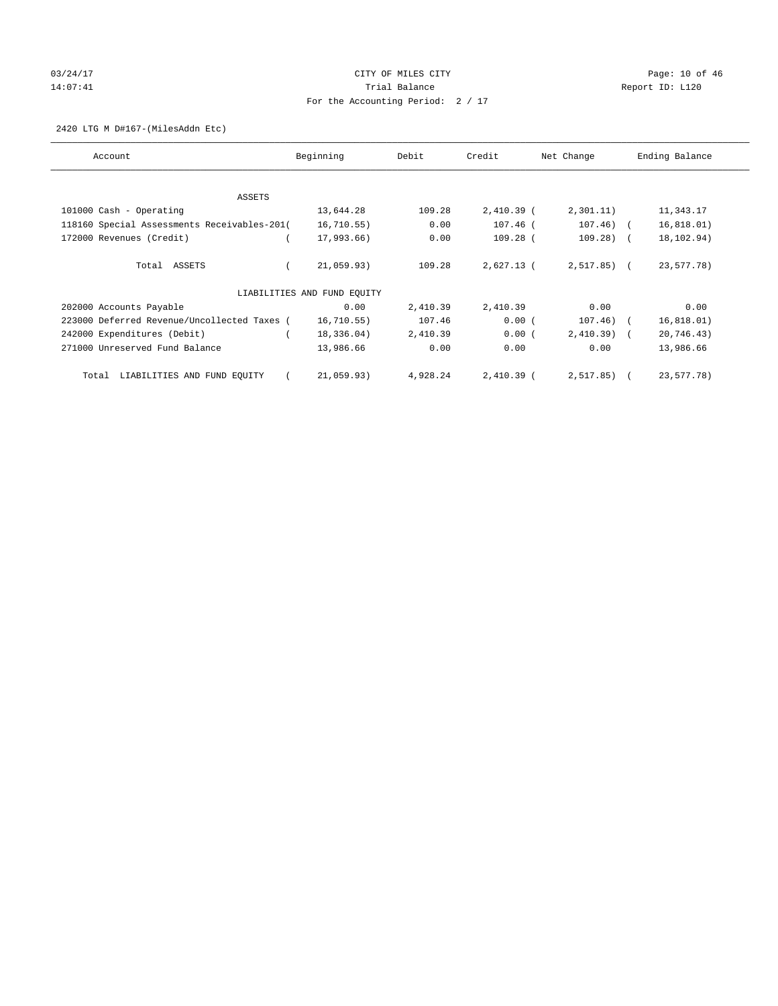# 03/24/17 Page: 10 of 46 14:07:41 CHEREN Report ID: L120 For the Accounting Period: 2 / 17

2420 LTG M D#167-(MilesAddn Etc)

| Account                                     | Beginning                   | Debit    | Credit       | Net Change     | Ending Balance |
|---------------------------------------------|-----------------------------|----------|--------------|----------------|----------------|
| ASSETS                                      |                             |          |              |                |                |
| 101000 Cash - Operating                     | 13,644.28                   | 109.28   | $2,410.39$ ( | 2,301.11)      | 11,343.17      |
| 118160 Special Assessments Receivables-201( | 16, 710.55)                 | 0.00     | 107.46 (     | $107.46$ ) (   | 16,818.01)     |
| 172000 Revenues (Credit)                    | 17,993.66)                  | 0.00     | 109.28 (     | $109.28$ ) (   | 18,102.94)     |
| Total ASSETS                                | 21,059.93)                  | 109.28   | $2.627.13$ ( | $2,517.85$ ) ( | 23,577.78)     |
|                                             | LIABILITIES AND FUND EQUITY |          |              |                |                |
| 202000 Accounts Payable                     | 0.00                        | 2,410.39 | 2,410.39     | 0.00           | 0.00           |
| 223000 Deferred Revenue/Uncollected Taxes ( | 16, 710.55)                 | 107.46   | 0.00(        | $107.46)$ (    | 16, 818.01)    |
| 242000 Expenditures (Debit)                 | 18,336.04)                  | 2,410.39 | 0.00(        | $2,410.39$ (   | 20,746.43)     |
| 271000 Unreserved Fund Balance              | 13,986.66                   | 0.00     | 0.00         | 0.00           | 13,986.66      |
| LIABILITIES AND FUND EQUITY<br>Total        | 21,059.93)                  | 4,928.24 | $2,410.39$ ( | $2,517.85$ ) ( | 23,577.78)     |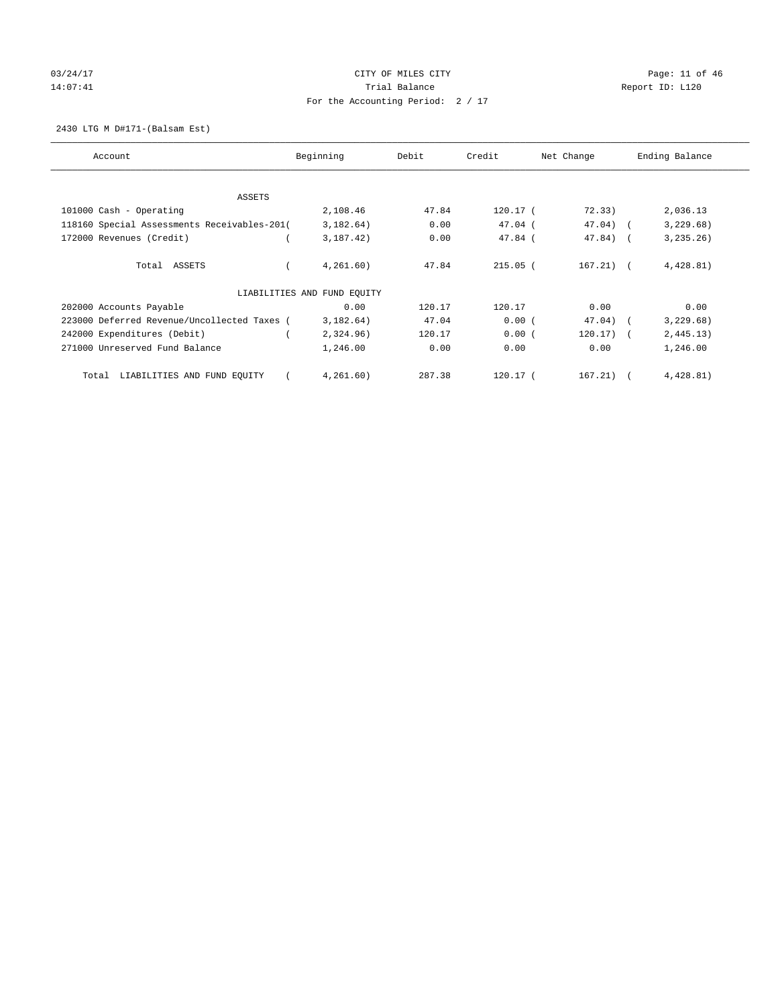# 03/24/17 Page: 11 of 46 14:07:41 CHEREN Report ID: L120 For the Accounting Period: 2 / 17

2430 LTG M D#171-(Balsam Est)

| Account                                     | Beginning                   | Debit  | Credit     | Net Change  | Ending Balance |
|---------------------------------------------|-----------------------------|--------|------------|-------------|----------------|
| ASSETS                                      |                             |        |            |             |                |
| 101000 Cash - Operating                     | 2,108.46                    | 47.84  | $120.17$ ( | 72.33)      | 2,036.13       |
| 118160 Special Assessments Receivables-201( | 3,182.64)                   | 0.00   | $47.04$ (  | $47.04)$ (  | 3,229.68)      |
| 172000 Revenues (Credit)                    | 3,187.42)                   | 0.00   | $47.84$ (  | $47.84$ ) ( | 3, 235.26)     |
| Total ASSETS                                | 4,261.60)                   | 47.84  | $215.05$ ( | $167.21)$ ( | 4,428.81)      |
|                                             | LIABILITIES AND FUND EQUITY |        |            |             |                |
| 202000 Accounts Payable                     | 0.00                        | 120.17 | 120.17     | 0.00        | 0.00           |
| 223000 Deferred Revenue/Uncollected Taxes ( | 3,182.64)                   | 47.04  | 0.00(      | $47.04)$ (  | 3,229.68)      |
| 242000 Expenditures (Debit)                 | 2,324.96)                   | 120.17 | 0.00(      | $120.17)$ ( | 2,445.13)      |
| 271000 Unreserved Fund Balance              | 1,246.00                    | 0.00   | 0.00       | 0.00        | 1,246.00       |
| LIABILITIES AND FUND EQUITY<br>Total        | 4,261.60)                   | 287.38 | $120.17$ ( | 167.21)     | 4,428.81)      |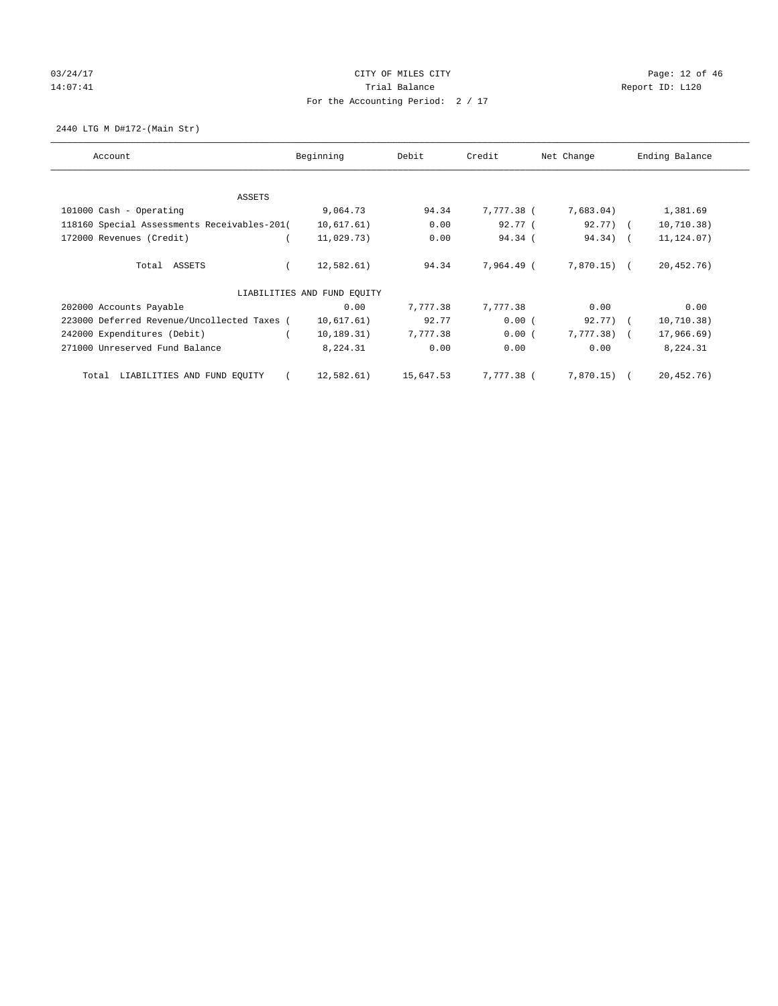# 03/24/17 Page: 12 of 46 14:07:41 CHEREN Report ID: L120 For the Accounting Period: 2 / 17

2440 LTG M D#172-(Main Str)

| Account                                     | Beginning                   | Debit     | Credit     | Net Change   | Ending Balance |
|---------------------------------------------|-----------------------------|-----------|------------|--------------|----------------|
| ASSETS                                      |                             |           |            |              |                |
| 101000 Cash - Operating                     | 9,064.73                    | 94.34     | 7,777.38 ( | 7,683.04)    | 1,381.69       |
| 118160 Special Assessments Receivables-201( | 10,617.61)                  | 0.00      | 92.77(     | $92.77$ ) (  | 10, 710.38)    |
| 172000 Revenues (Credit)                    | 11,029.73)                  | 0.00      | 94.34(     | 94.34) (     | 11, 124.07)    |
| Total ASSETS                                | 12,582.61)                  | 94.34     | 7,964,49 ( | $7.870.15$ ( | 20,452.76)     |
|                                             | LIABILITIES AND FUND EQUITY |           |            |              |                |
| 202000 Accounts Payable                     | 0.00                        | 7,777.38  | 7,777.38   | 0.00         | 0.00           |
| 223000 Deferred Revenue/Uncollected Taxes ( | 10,617.61)                  | 92.77     | 0.00(      | 92.77) (     | 10, 710.38)    |
| 242000 Expenditures (Debit)                 | 10, 189.31)                 | 7,777.38  | 0.00(      | $7,777.38$ ( | 17,966.69)     |
| 271000 Unreserved Fund Balance              | 8,224.31                    | 0.00      | 0.00       | 0.00         | 8,224.31       |
| LIABILITIES AND FUND EQUITY<br>Total        | 12,582.61)                  | 15,647.53 | 7,777.38 ( | 7,870.15) (  | 20,452.76)     |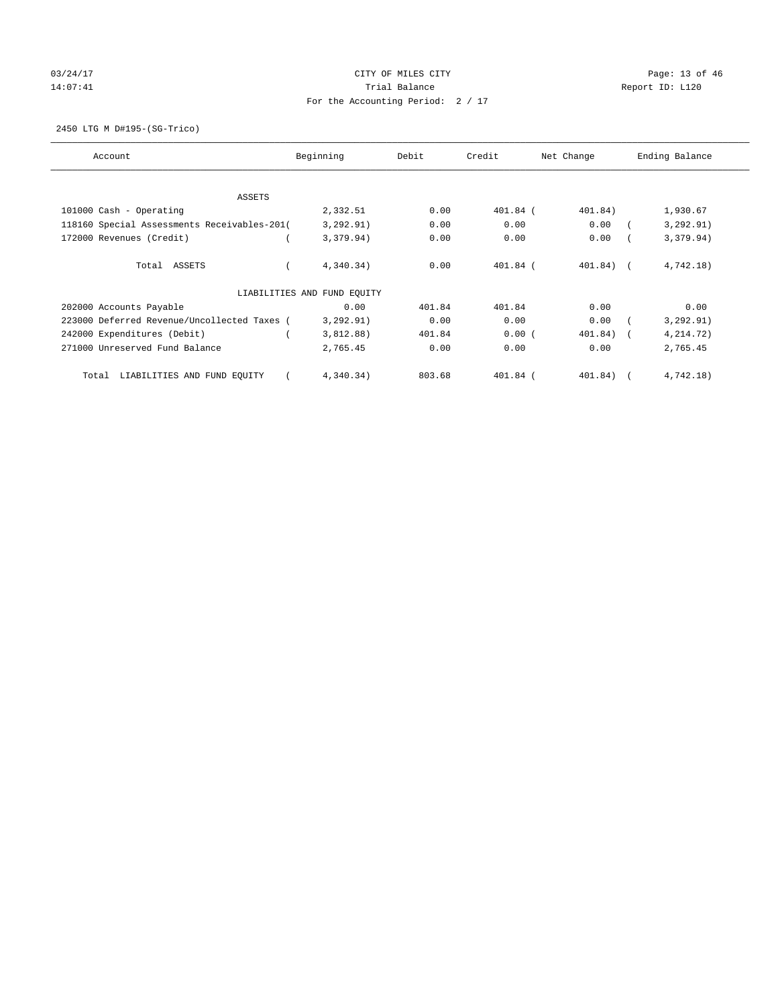# 03/24/17 Page: 13 of 46 14:07:41 CHEREN Report ID: L120 For the Accounting Period: 2 / 17

2450 LTG M D#195-(SG-Trico)

| Account                                     | Beginning                   | Debit  | Credit     | Net Change | Ending Balance |
|---------------------------------------------|-----------------------------|--------|------------|------------|----------------|
| ASSETS                                      |                             |        |            |            |                |
| 101000 Cash - Operating                     | 2,332.51                    | 0.00   | $401.84$ ( | 401.84)    | 1,930.67       |
| 118160 Special Assessments Receivables-201( | 3, 292.91)                  | 0.00   | 0.00       | 0.00       | 3, 292.91)     |
| 172000 Revenues (Credit)                    | 3,379.94)                   | 0.00   | 0.00       | 0.00       | 3,379.94)      |
| Total ASSETS                                | 4,340.34)                   | 0.00   | $401.84$ ( | $401.84$ ( | 4,742.18)      |
|                                             | LIABILITIES AND FUND EQUITY |        |            |            |                |
| 202000 Accounts Payable                     | 0.00                        | 401.84 | 401.84     | 0.00       | 0.00           |
| 223000 Deferred Revenue/Uncollected Taxes ( | 3, 292.91)                  | 0.00   | 0.00       | 0.00       | 3, 292.91)     |
| 242000 Expenditures (Debit)                 | 3,812.88)                   | 401.84 | 0.00(      | 401.84) (  | 4,214.72)      |
| 271000 Unreserved Fund Balance              | 2,765.45                    | 0.00   | 0.00       | 0.00       | 2,765.45       |
| LIABILITIES AND FUND EQUITY<br>Total        | 4,340.34)                   | 803.68 | 401.84 (   | 401.84)    | 4,742.18)      |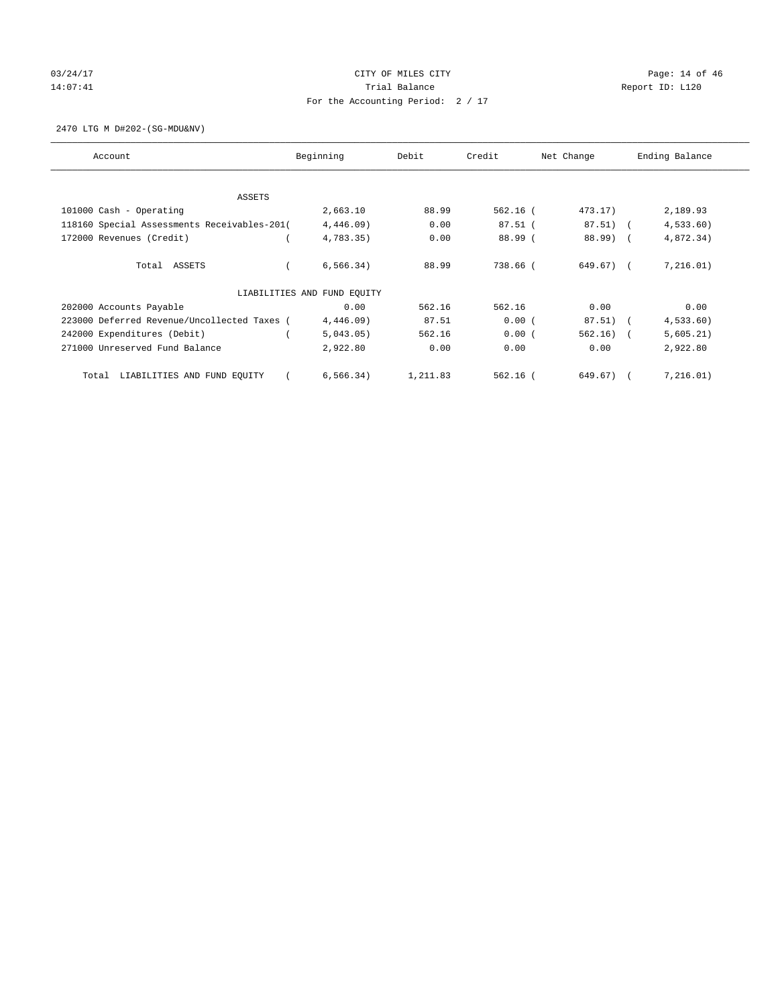# 03/24/17 Page: 14 of 46 14:07:41 CHEREN Report ID: L120 For the Accounting Period: 2 / 17

2470 LTG M D#202-(SG-MDU&NV)

| Account                                     | Beginning                   | Debit    | Credit     | Net Change   | Ending Balance |
|---------------------------------------------|-----------------------------|----------|------------|--------------|----------------|
| ASSETS                                      |                             |          |            |              |                |
| 101000 Cash - Operating                     | 2,663.10                    | 88.99    | $562.16$ ( | $473.17$ )   | 2,189.93       |
| 118160 Special Assessments Receivables-201( | $4,446.09$ )                | 0.00     | $87.51$ (  | $87.51)$ (   | 4,533.60       |
| 172000 Revenues (Credit)                    | 4,783.35)                   | 0.00     | 88.99 (    | 88.99) (     | 4,872.34)      |
| Total ASSETS                                | 6, 566.34)                  | 88.99    | 738.66 (   | $649.67$ ) ( | 7,216.01)      |
|                                             | LIABILITIES AND FUND EQUITY |          |            |              |                |
| 202000 Accounts Payable                     | 0.00                        | 562.16   | 562.16     | 0.00         | 0.00           |
| 223000 Deferred Revenue/Uncollected Taxes ( | $4,446.09$ )                | 87.51    | 0.00(      | 87.51)       | 4,533.60)      |
| 242000 Expenditures (Debit)                 | 5,043.05)                   | 562.16   | 0.00(      | $562.16)$ (  | 5,605.21)      |
| 271000 Unreserved Fund Balance              | 2,922.80                    | 0.00     | 0.00       | 0.00         | 2,922.80       |
| LIABILITIES AND FUND EQUITY<br>Total        | 6, 566.34)                  | 1,211.83 | $562.16$ ( | 649.67) (    | 7,216.01)      |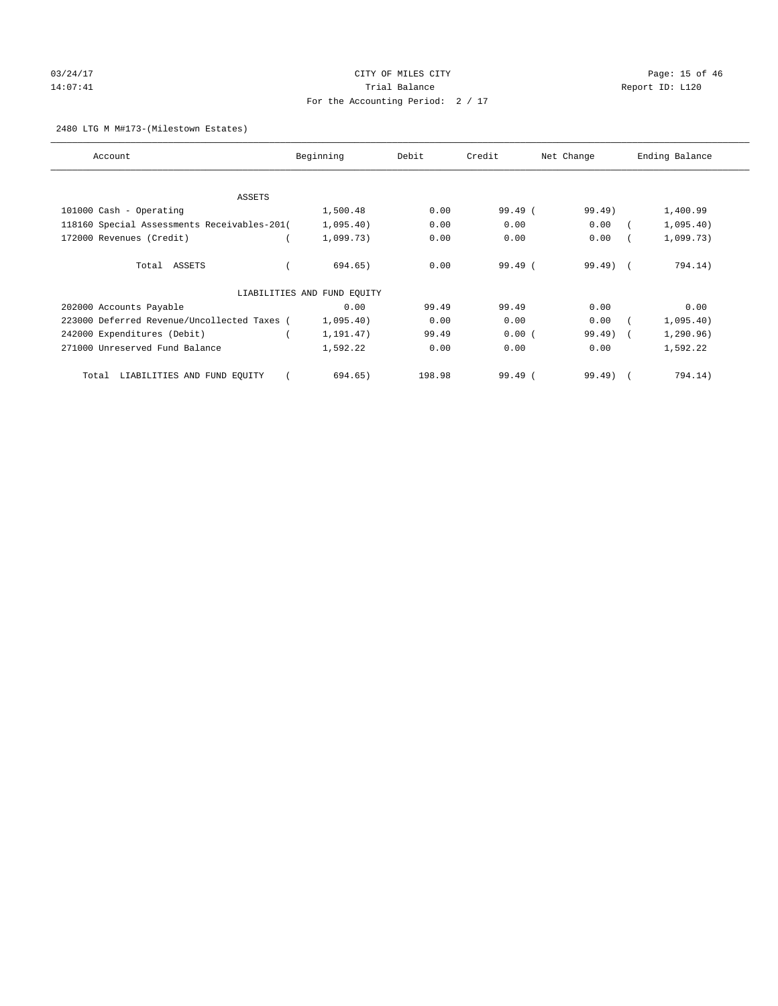# 03/24/17 Page: 15 of 46 14:07:41 CHEREN Report ID: L120 For the Accounting Period: 2 / 17

### 2480 LTG M M#173-(Milestown Estates)

| Account                                     | Beginning                   | Debit  | Credit  | Net Change          | Ending Balance |
|---------------------------------------------|-----------------------------|--------|---------|---------------------|----------------|
| ASSETS                                      |                             |        |         |                     |                |
| 101000 Cash - Operating                     | 1,500.48                    | 0.00   | 99.49 ( | 99.49)              | 1,400.99       |
| 118160 Special Assessments Receivables-201( | 1,095.40)                   | 0.00   | 0.00    | 0.00                | 1,095.40)      |
| 172000 Revenues (Credit)                    | 1,099.73)                   | 0.00   | 0.00    | 0.00                | 1,099.73)      |
| Total ASSETS                                | 694.65)                     | 0.00   | 99.49(  | $99.49$ $($         | 794.14)        |
|                                             | LIABILITIES AND FUND EQUITY |        |         |                     |                |
| 202000 Accounts Payable                     | 0.00                        | 99.49  | 99.49   | 0.00                | 0.00           |
| 223000 Deferred Revenue/Uncollected Taxes ( | 1,095.40)                   | 0.00   | 0.00    | 0.00                | 1,095.40)      |
| 242000 Expenditures (Debit)                 | 1,191.47)                   | 99.49  | 0.00(   | 99.49<br>$\sqrt{2}$ | 1, 290.96)     |
| 271000 Unreserved Fund Balance              | 1,592.22                    | 0.00   | 0.00    | 0.00                | 1,592.22       |
| LIABILITIES AND FUND EQUITY<br>Total        | 694.65)                     | 198.98 | 99.49(  | $99.49$ $($         | 794.14)        |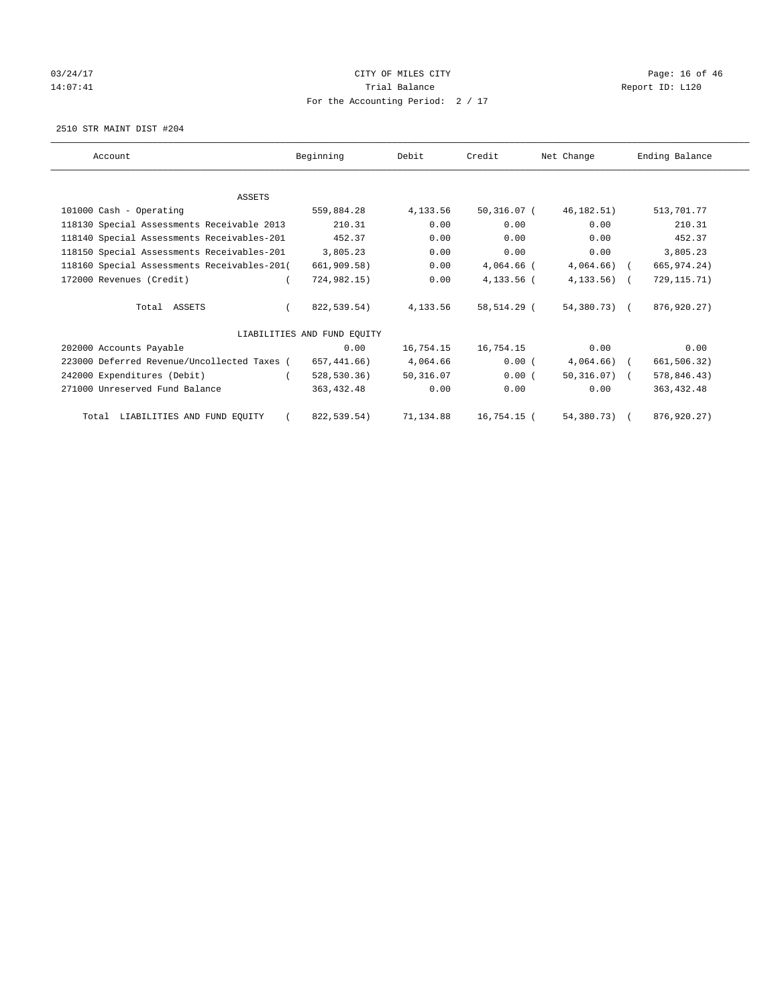# 03/24/17 Page: 16 of 46 14:07:41 CHEREN Report ID: L120 For the Accounting Period: 2 / 17

2510 STR MAINT DIST #204

| Account                                     | Beginning                   | Debit     | Credit       | Net Change     | Ending Balance |
|---------------------------------------------|-----------------------------|-----------|--------------|----------------|----------------|
|                                             |                             |           |              |                |                |
| <b>ASSETS</b>                               |                             |           |              |                |                |
| 101000 Cash - Operating                     | 559,884.28                  | 4,133.56  | 50,316.07 (  | 46,182.51)     | 513,701.77     |
| 118130 Special Assessments Receivable 2013  | 210.31                      | 0.00      | 0.00         | 0.00           | 210.31         |
| 118140 Special Assessments Receivables-201  | 452.37                      | 0.00      | 0.00         | 0.00           | 452.37         |
| 118150 Special Assessments Receivables-201  | 3,805.23                    | 0.00      | 0.00         | 0.00           | 3,805.23       |
| 118160 Special Assessments Receivables-201( | 661,909.58)                 | 0.00      | 4,064.66 (   | $4,064.66$ (   | 665, 974. 24)  |
| 172000 Revenues (Credit)                    | 724,982.15)                 | 0.00      | $4.133.56$ ( | $4, 133.56$ (  | 729, 115. 71)  |
| Total ASSETS                                | 822,539.54)                 | 4,133.56  | 58,514.29 (  | 54,380.73) (   | 876,920.27)    |
|                                             | LIABILITIES AND FUND EQUITY |           |              |                |                |
| 202000 Accounts Payable                     | 0.00                        | 16,754.15 | 16,754.15    | 0.00           | 0.00           |
| 223000 Deferred Revenue/Uncollected Taxes ( | 657,441.66)                 | 4,064.66  | 0.00(        | $4,064.66$ (   | 661,506.32)    |
| 242000 Expenditures (Debit)                 | 528, 530.36)                | 50,316.07 | 0.00(        | $50,316.07)$ ( | 578,846.43)    |
| 271000 Unreserved Fund Balance              | 363, 432.48                 | 0.00      | 0.00         | 0.00           | 363, 432.48    |
| Total LIABILITIES AND FUND EQUITY           | 822,539.54)                 | 71,134.88 | 16,754.15 (  | 54,380.73) (   | 876, 920. 27)  |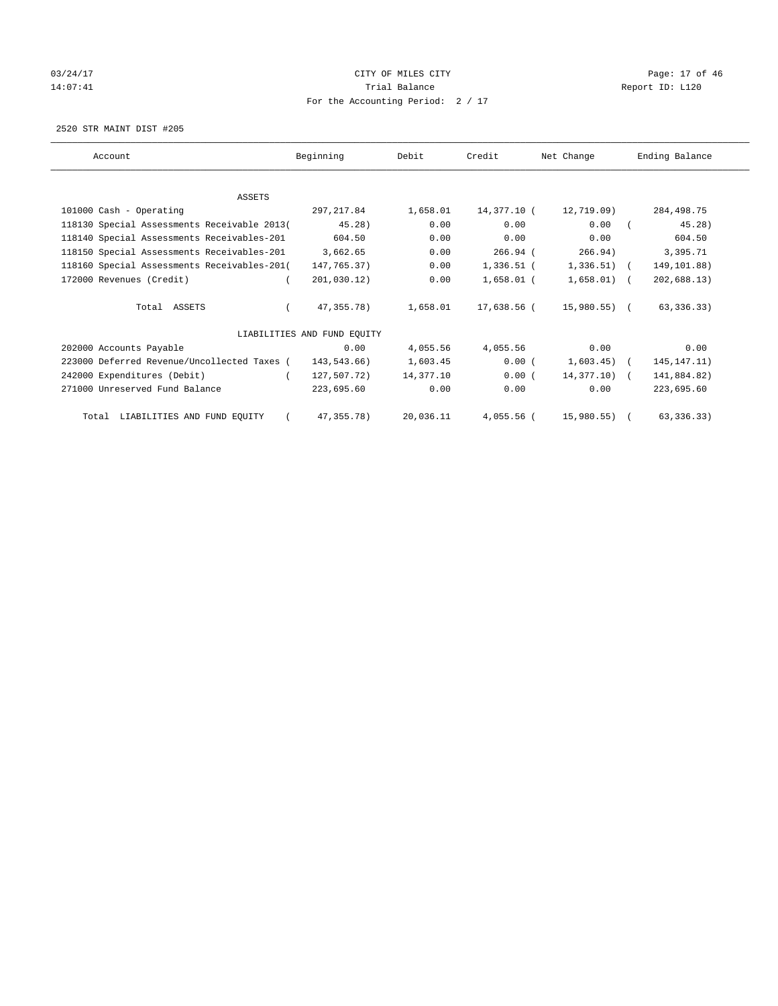# 03/24/17 Page: 17 of 46 14:07:41 CHEREN Report ID: L120 For the Accounting Period: 2 / 17

2520 STR MAINT DIST #205

| Account                                     | Beginning                   | Debit     | Credit       | Net Change    | Ending Balance |
|---------------------------------------------|-----------------------------|-----------|--------------|---------------|----------------|
|                                             |                             |           |              |               |                |
| ASSETS                                      |                             |           |              |               |                |
| 101000 Cash - Operating                     | 297, 217.84                 | 1,658.01  | 14,377.10 (  | 12,719.09)    | 284,498.75     |
| 118130 Special Assessments Receivable 2013( | 45.28)                      | 0.00      | 0.00         | 0.00          | 45.28)         |
| 118140 Special Assessments Receivables-201  | 604.50                      | 0.00      | 0.00         | 0.00          | 604.50         |
| 118150 Special Assessments Receivables-201  | 3,662.65                    | 0.00      | $266.94$ (   | 266.94)       | 3,395.71       |
| 118160 Special Assessments Receivables-201( | 147,765.37)                 | 0.00      | $1,336.51$ ( | $1,336.51)$ ( | 149,101.88)    |
| 172000 Revenues (Credit)                    | 201,030.12)                 | 0.00      | $1,658.01$ ( | $1,658.01)$ ( | 202,688.13)    |
| Total ASSETS                                | 47, 355, 78)                | 1,658.01  | 17,638.56 (  | 15,980.55) (  | 63, 336.33)    |
|                                             | LIABILITIES AND FUND EOUITY |           |              |               |                |
| 202000 Accounts Payable                     | 0.00                        | 4,055.56  | 4,055.56     | 0.00          | 0.00           |
| 223000 Deferred Revenue/Uncollected Taxes ( | 143,543.66)                 | 1,603.45  | 0.00(        | $1,603.45$ (  | 145, 147. 11)  |
| 242000 Expenditures (Debit)                 | 127,507.72)                 | 14,377.10 | 0.00(        | $14,377.10$ ( | 141,884.82)    |
| 271000 Unreserved Fund Balance              | 223,695.60                  | 0.00      | 0.00         | 0.00          | 223,695.60     |
| Total LIABILITIES AND FUND EQUITY           | 47, 355. 78)                | 20,036.11 | $4,055.56$ ( | 15,980.55)    | 63, 336.33)    |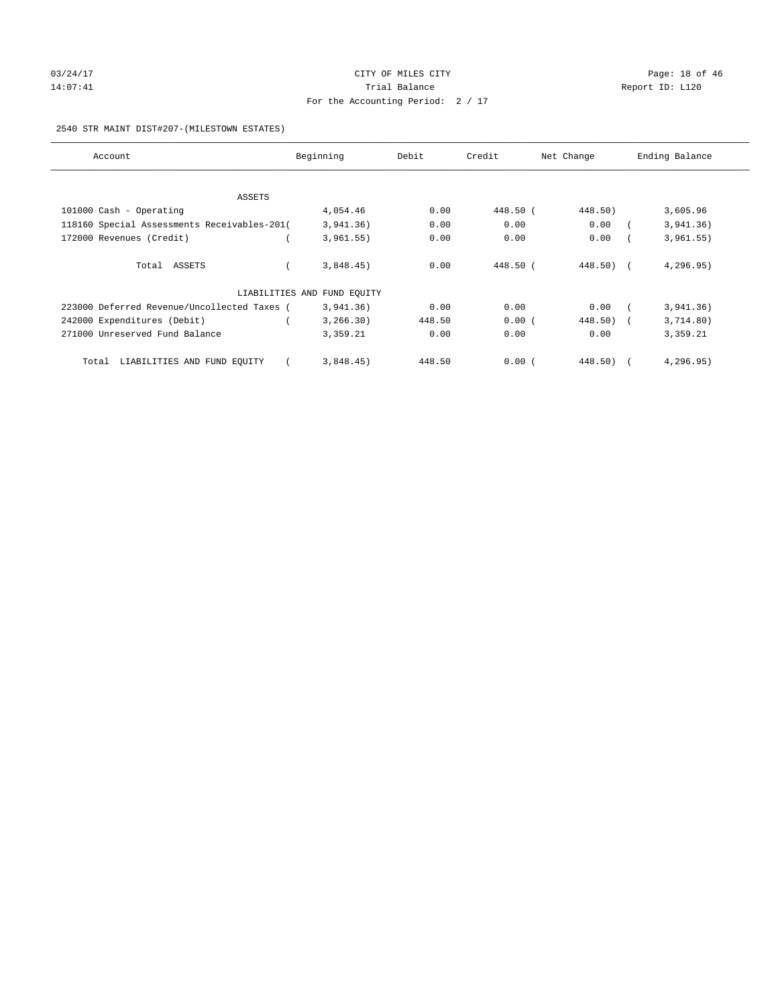# 03/24/17 Page: 18 of 46 14:07:41 CHEREN Report ID: L120 For the Accounting Period: 2 / 17

#### 2540 STR MAINT DIST#207-(MILESTOWN ESTATES)

| Account                                     | Beginning                   | Debit  | Credit   | Net Change | Ending Balance |
|---------------------------------------------|-----------------------------|--------|----------|------------|----------------|
|                                             |                             |        |          |            |                |
| ASSETS                                      |                             |        |          |            |                |
| 101000 Cash - Operating                     | 4,054.46                    | 0.00   | 448.50 ( | 448.50)    | 3,605.96       |
| 118160 Special Assessments Receivables-201( | 3,941.36)                   | 0.00   | 0.00     | 0.00       | 3,941.36)      |
| 172000 Revenues (Credit)                    | 3,961.55)                   | 0.00   | 0.00     | 0.00       | 3,961.55)      |
| Total ASSETS                                | 3,848.45)                   | 0.00   | 448.50 ( | $448.50$ ( | 4,296.95)      |
|                                             | LIABILITIES AND FUND EQUITY |        |          |            |                |
| 223000 Deferred Revenue/Uncollected Taxes ( | 3,941.36)                   | 0.00   | 0.00     | 0.00       | 3,941.36)      |
| 242000 Expenditures (Debit)                 | 3, 266.30)                  | 448.50 | 0.00(    | 448.50)    | 3,714.80)      |
| 271000 Unreserved Fund Balance              | 3,359.21                    | 0.00   | 0.00     | 0.00       | 3,359.21       |
| LIABILITIES AND FUND EQUITY<br>Total        | 3,848.45)                   | 448.50 | 0.00(    | 448.50)    | 4,296.95)      |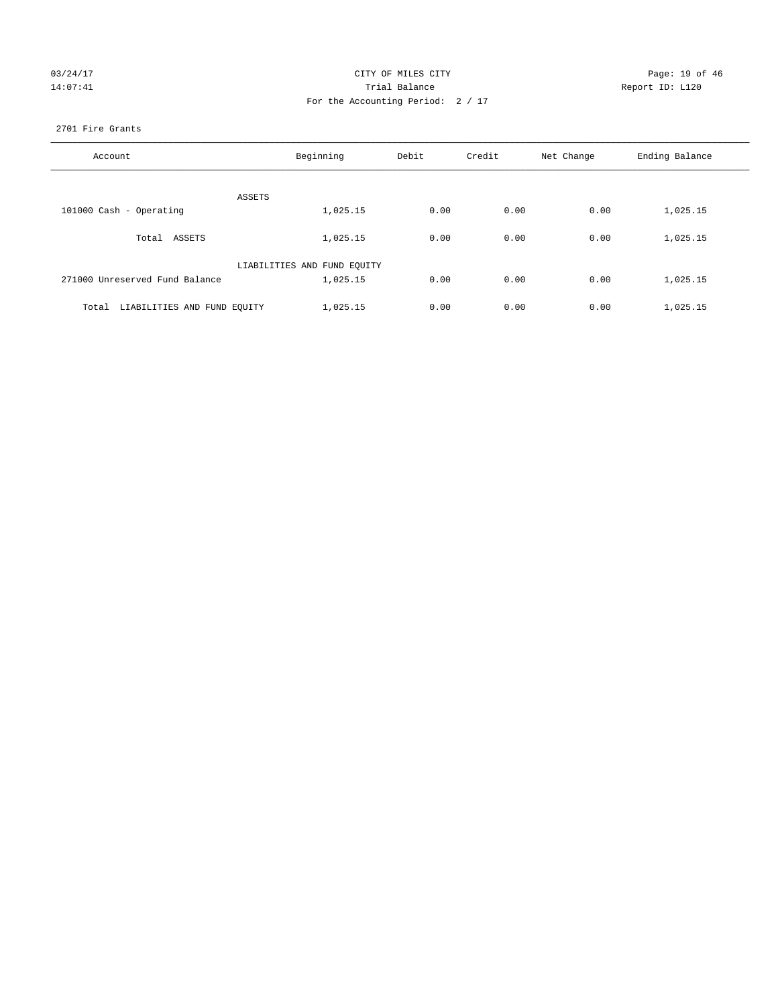| 03/24/17 |  |
|----------|--|
| 14:07:41 |  |

# CITY OF MILES CITY CONTROL CONTROL CITY CONTROL Page: 19 of 46 Partial Balance and Communications of the Report ID: L120 For the Accounting Period: 2 / 17

### 2701 Fire Grants

| Account                              | Beginning                   | Debit | Credit | Net Change | Ending Balance |
|--------------------------------------|-----------------------------|-------|--------|------------|----------------|
|                                      |                             |       |        |            |                |
|                                      | ASSETS                      |       |        |            |                |
| 101000 Cash - Operating              | 1,025.15                    | 0.00  | 0.00   | 0.00       | 1,025.15       |
| Total ASSETS                         | 1,025.15                    | 0.00  | 0.00   | 0.00       | 1,025.15       |
|                                      | LIABILITIES AND FUND EQUITY |       |        |            |                |
| 271000 Unreserved Fund Balance       | 1,025.15                    | 0.00  | 0.00   | 0.00       | 1,025.15       |
|                                      |                             |       |        |            |                |
| LIABILITIES AND FUND EQUITY<br>Total | 1,025.15                    | 0.00  | 0.00   | 0.00       | 1,025.15       |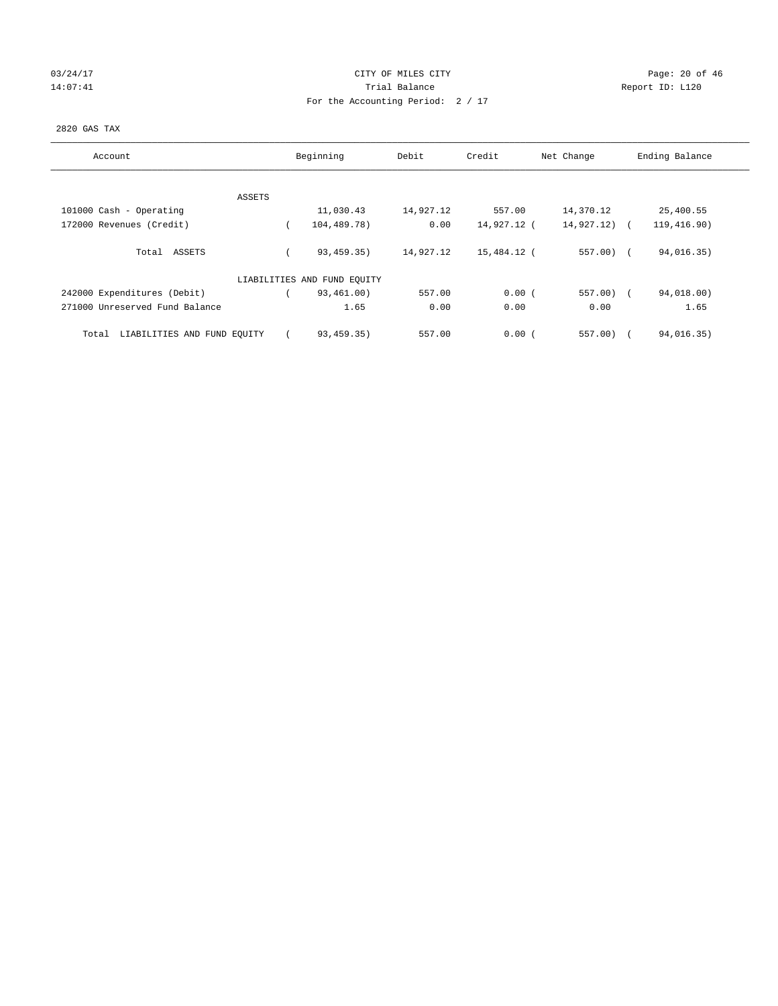# 03/24/17 Page: 20 of 46 14:07:41 CHEREN Report ID: L120 For the Accounting Period: 2 / 17

## 2820 GAS TAX

| Account                              | Beginning                   | Debit     | Credit      | Net Change | Ending Balance |
|--------------------------------------|-----------------------------|-----------|-------------|------------|----------------|
| ASSETS                               |                             |           |             |            |                |
| 101000 Cash - Operating              | 11,030.43                   | 14,927.12 | 557.00      | 14,370.12  | 25,400.55      |
| 172000 Revenues (Credit)             | 104,489.78)                 | 0.00      | 14,927.12 ( | 14,927.12) | 119,416.90)    |
| Total ASSETS                         | 93,459.35)                  | 14,927.12 | 15,484.12 ( | $557.00$ ( | 94,016.35)     |
|                                      | LIABILITIES AND FUND EQUITY |           |             |            |                |
| 242000 Expenditures (Debit)          | 93,461.00)                  | 557.00    | 0.00(       | $557.00$ ( | 94,018.00)     |
| 271000 Unreserved Fund Balance       | 1.65                        | 0.00      | 0.00        | 0.00       | 1.65           |
| LIABILITIES AND FUND EQUITY<br>Total | 93,459.35)                  | 557.00    | 0.00(       | $557.00$ ) | 94,016.35)     |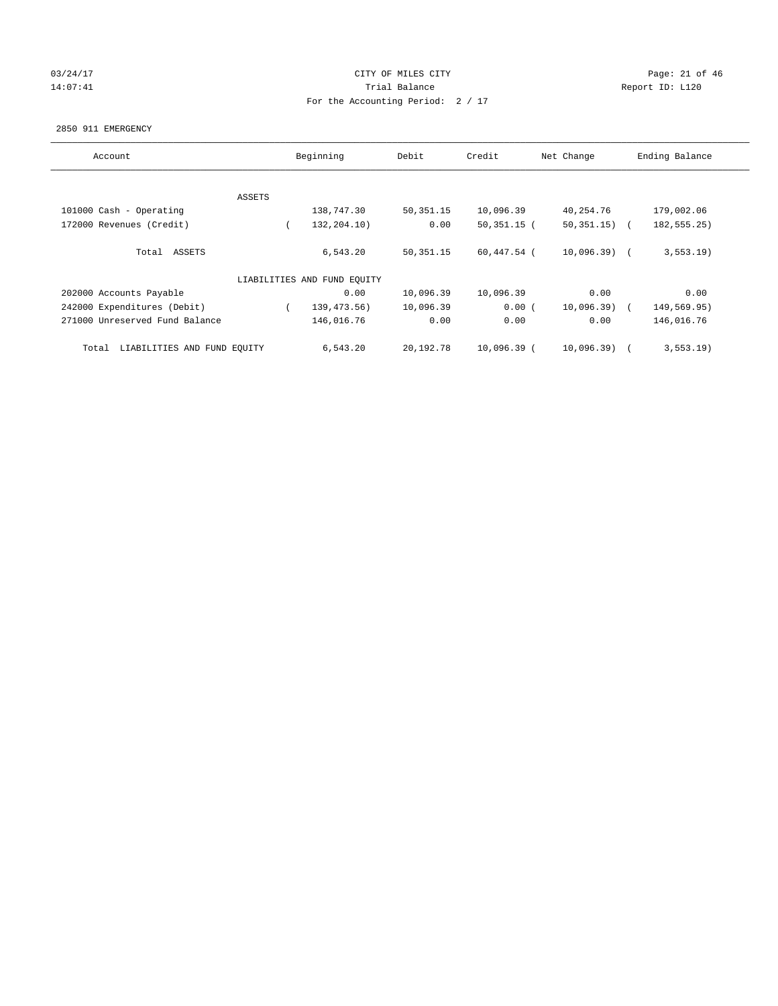# 03/24/17 Page: 21 of 46 14:07:41 CHEREN Report ID: L120 For the Accounting Period: 2 / 17

#### 2850 911 EMERGENCY

| Account                              |        | Beginning                   | Debit       | Credit        | Net Change     | Ending Balance |
|--------------------------------------|--------|-----------------------------|-------------|---------------|----------------|----------------|
|                                      |        |                             |             |               |                |                |
|                                      | ASSETS |                             |             |               |                |                |
| 101000 Cash - Operating              |        | 138,747.30                  | 50, 351. 15 | 10,096.39     | 40,254.76      | 179,002.06     |
| 172000 Revenues (Credit)             |        | 132,204.10)                 | 0.00        | $50,351,15$ ( | 50, 351.15)    | 182, 555. 25)  |
| ASSETS<br>Total                      |        | 6,543.20                    | 50, 351. 15 | 60,447.54 (   | $10,096.39)$ ( | $3, 553.19$ )  |
|                                      |        | LIABILITIES AND FUND EQUITY |             |               |                |                |
| 202000 Accounts Payable              |        | 0.00                        | 10,096.39   | 10,096.39     | 0.00           | 0.00           |
| 242000 Expenditures (Debit)          |        | 139, 473.56)                | 10,096.39   | 0.00(         | 10,096.39)     | 149,569.95)    |
| 271000 Unreserved Fund Balance       |        | 146,016.76                  | 0.00        | 0.00          | 0.00           | 146,016.76     |
| LIABILITIES AND FUND EQUITY<br>Total |        | 6,543.20                    | 20,192.78   | 10,096.39 (   | 10,096.39)     | $3, 553.19$ )  |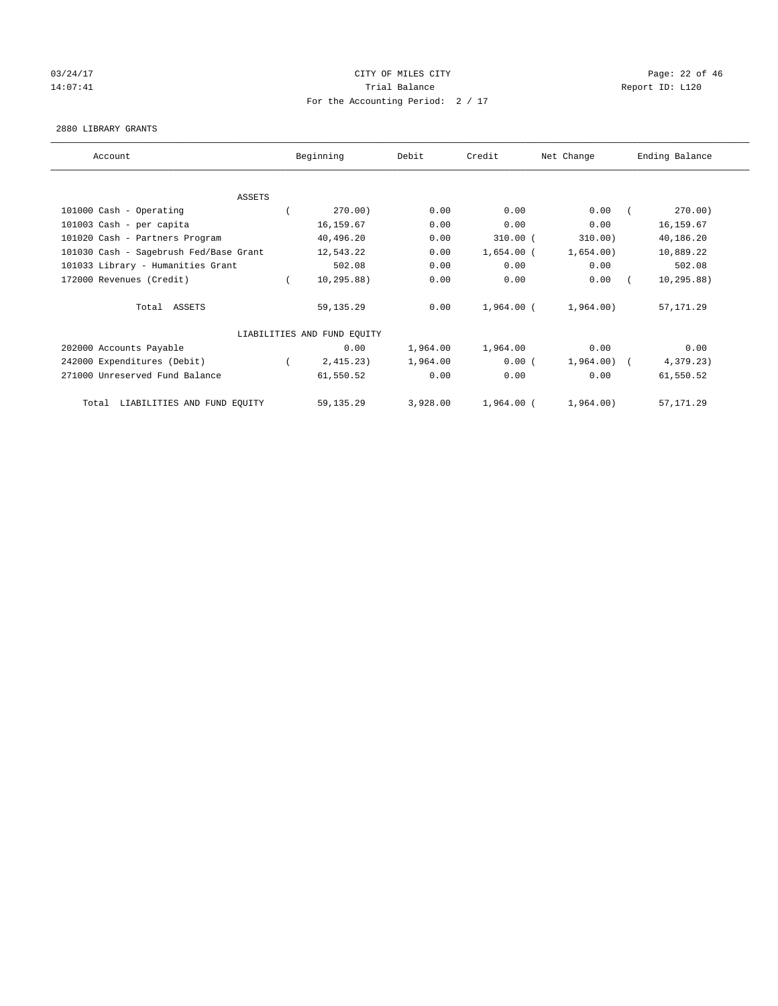# 03/24/17 Page: 22 of 46 14:07:41 CHEREN Report ID: L120 For the Accounting Period: 2 / 17

#### 2880 LIBRARY GRANTS

| Account                                | Beginning                   | Debit    | Credit       | Net Change   | Ending Balance |
|----------------------------------------|-----------------------------|----------|--------------|--------------|----------------|
|                                        |                             |          |              |              |                |
| ASSETS                                 |                             |          |              |              |                |
| 101000 Cash - Operating                | 270.00)                     | 0.00     | 0.00         | 0.00         | 270.00)        |
| 101003 Cash - per capita               | 16,159.67                   | 0.00     | 0.00         | 0.00         | 16, 159.67     |
| 101020 Cash - Partners Program         | 40,496.20                   | 0.00     | $310.00$ (   | 310.00)      | 40,186.20      |
| 101030 Cash - Sagebrush Fed/Base Grant | 12,543.22                   | 0.00     | $1,654.00$ ( | 1,654.00)    | 10,889.22      |
| 101033 Library - Humanities Grant      | 502.08                      | 0.00     | 0.00         | 0.00         | 502.08         |
| 172000 Revenues (Credit)               | 10, 295.88)                 | 0.00     | 0.00         | 0.00         | 10, 295.88)    |
| Total ASSETS                           | 59, 135. 29                 | 0.00     | 1,964.00 (   | 1,964.00)    | 57, 171.29     |
|                                        | LIABILITIES AND FUND EQUITY |          |              |              |                |
| 202000 Accounts Payable                | 0.00                        | 1,964.00 | 1,964.00     | 0.00         | 0.00           |
| 242000 Expenditures (Debit)            | 2,415.23)                   | 1,964.00 | 0.00(        | $1,964.00$ ( | 4,379.23)      |
| 271000 Unreserved Fund Balance         | 61,550.52                   | 0.00     | 0.00         | 0.00         | 61,550.52      |
| LIABILITIES AND FUND EQUITY<br>Total   | 59, 135. 29                 | 3,928.00 | 1,964.00 (   | 1,964.00)    | 57, 171.29     |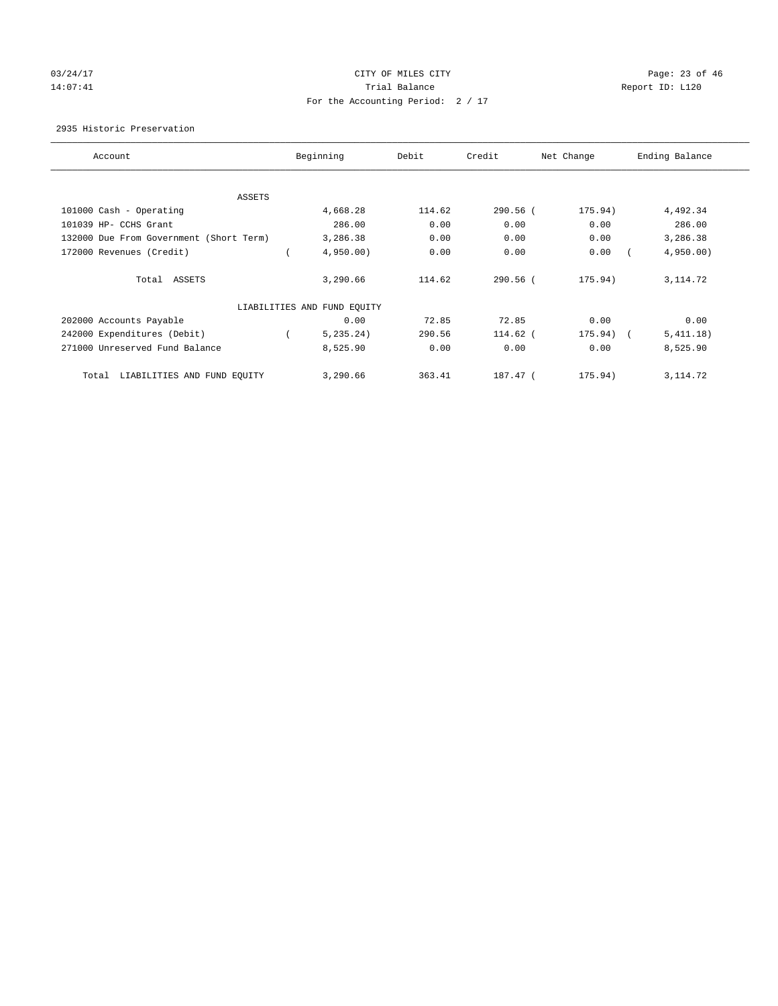# 03/24/17 Page: 23 of 46 14:07:41 CHEREN Report ID: L120 For the Accounting Period: 2 / 17

2935 Historic Preservation

| Account                                 | Beginning                   | Debit  | Credit     | Net Change | Ending Balance |
|-----------------------------------------|-----------------------------|--------|------------|------------|----------------|
| ASSETS                                  |                             |        |            |            |                |
| 101000 Cash - Operating                 | 4,668.28                    | 114.62 | $290.56$ ( | 175.94)    | 4,492.34       |
| 101039 HP- CCHS Grant                   | 286.00                      | 0.00   | 0.00       | 0.00       | 286.00         |
| 132000 Due From Government (Short Term) | 3,286.38                    | 0.00   | 0.00       | 0.00       | 3,286.38       |
| 172000 Revenues (Credit)                | 4,950.00                    | 0.00   | 0.00       | 0.00       | 4,950.00       |
| Total ASSETS                            | 3,290.66                    | 114.62 | $290.56$ ( | 175.94)    | 3, 114.72      |
|                                         | LIABILITIES AND FUND EQUITY |        |            |            |                |
| 202000 Accounts Payable                 | 0.00                        | 72.85  | 72.85      | 0.00       | 0.00           |
| 242000 Expenditures (Debit)             | 5, 235.24)                  | 290.56 | 114.62 (   | 175.94) (  | 5,411.18)      |
| 271000 Unreserved Fund Balance          | 8,525.90                    | 0.00   | 0.00       | 0.00       | 8,525.90       |
| LIABILITIES AND FUND EQUITY<br>Total    | 3,290.66                    | 363.41 | 187.47 (   | 175.94)    | 3, 114.72      |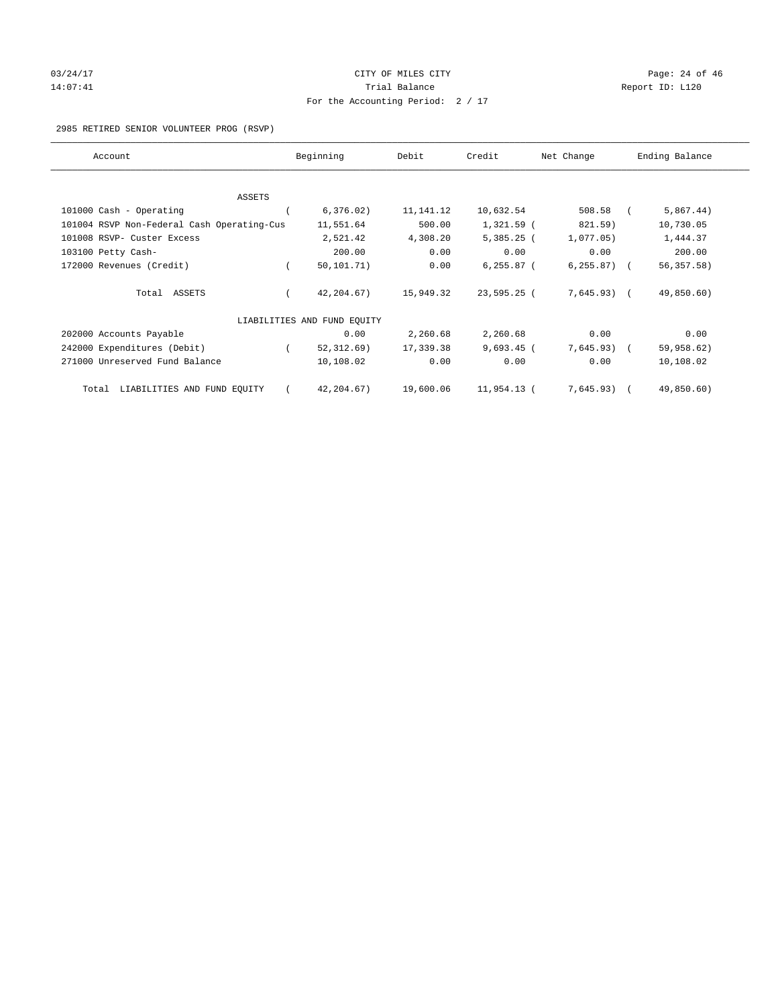# 03/24/17 Page: 24 of 46 14:07:41 CHEREN Report ID: L120 For the Accounting Period: 2 / 17

2985 RETIRED SENIOR VOLUNTEER PROG (RSVP)

| Account                                    | Beginning                   | Debit     | Credit        | Net Change    | Ending Balance |
|--------------------------------------------|-----------------------------|-----------|---------------|---------------|----------------|
|                                            |                             |           |               |               |                |
| <b>ASSETS</b><br>101000 Cash - Operating   | 6, 376.02)                  | 11,141.12 | 10,632.54     | 508.58        | 5,867.44)      |
|                                            |                             | 500.00    |               |               |                |
| 101004 RSVP Non-Federal Cash Operating-Cus | 11,551.64                   |           | $1,321.59$ (  | 821.59)       | 10,730.05      |
| 101008 RSVP- Custer Excess                 | 2,521.42                    | 4,308.20  | $5,385.25$ (  | 1,077.05)     | 1,444.37       |
| 103100 Petty Cash-                         | 200.00                      | 0.00      | 0.00          | 0.00          | 200.00         |
| 172000 Revenues (Credit)                   | 50, 101, 71)                | 0.00      | $6, 255.87$ ( | $6, 255.87$ ( | 56, 357.58     |
| Total ASSETS                               | 42,204.67)                  | 15,949.32 | 23,595.25 (   | $7,645.93$ (  | 49,850.60)     |
|                                            | LIABILITIES AND FUND EQUITY |           |               |               |                |
| 202000 Accounts Payable                    | 0.00                        | 2,260.68  | 2,260.68      | 0.00          | 0.00           |
| 242000 Expenditures (Debit)                | 52, 312, 69)                | 17,339.38 | $9,693.45$ (  | 7,645.93)     | 59,958.62)     |
| 271000 Unreserved Fund Balance             | 10,108.02                   | 0.00      | 0.00          | 0.00          | 10,108.02      |
| LIABILITIES AND FUND EQUITY<br>Total       | 42, 204. 67)                | 19,600.06 | 11,954.13 (   | $7,645.93$ (  | 49,850.60)     |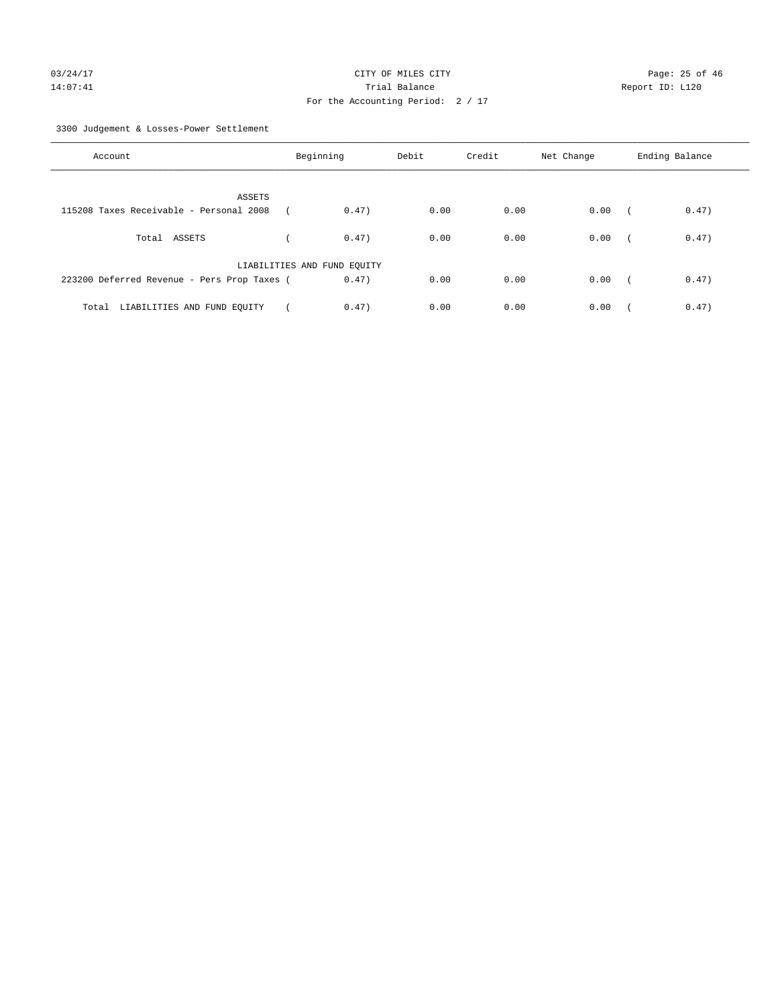3300 Judgement & Losses-Power Settlement

| Account                                     | Beginning                   | Debit | Credit | Net Change | Ending Balance                    |
|---------------------------------------------|-----------------------------|-------|--------|------------|-----------------------------------|
| ASSETS                                      |                             |       |        |            |                                   |
| 115208 Taxes Receivable - Personal 2008     | 0.47)                       | 0.00  | 0.00   | 0.00       | 0.47)<br>$\sqrt{2}$               |
| Total ASSETS                                | 0.47)                       | 0.00  | 0.00   | 0.00       | 0.47)<br>$\sqrt{ }$               |
|                                             | LIABILITIES AND FUND EQUITY |       |        |            |                                   |
| 223200 Deferred Revenue - Pers Prop Taxes ( | 0.47)                       | 0.00  | 0.00   | 0.00       | 0.47)<br>$\overline{\phantom{a}}$ |
| Total LIABILITIES AND FUND EOUITY           | 0.47)                       | 0.00  | 0.00   | 0.00       | 0.47)                             |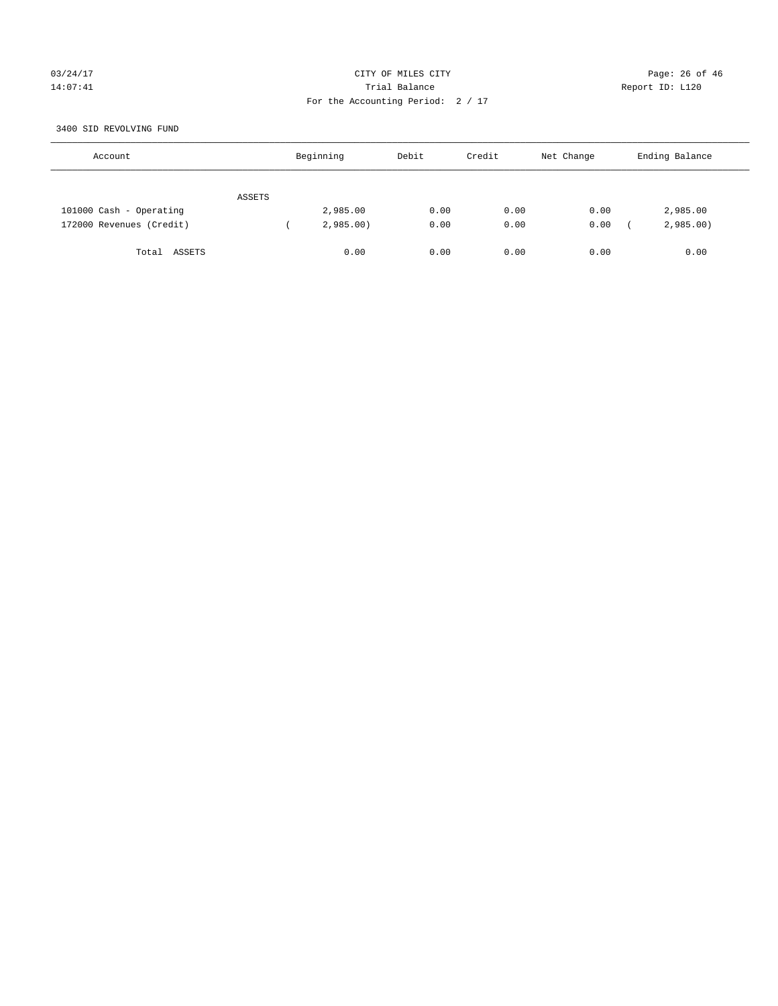# 03/24/17 Page: 26 of 46 14:07:41 Report ID: L120 For the Accounting Period: 2 / 17

## 3400 SID REVOLVING FUND

| Account                  |        | Beginning | Debit | Credit | Net Change | Ending Balance |
|--------------------------|--------|-----------|-------|--------|------------|----------------|
|                          | ASSETS |           |       |        |            |                |
| 101000 Cash - Operating  |        | 2,985.00  | 0.00  | 0.00   | 0.00       | 2,985.00       |
| 172000 Revenues (Credit) |        | 2,985.00  | 0.00  | 0.00   | 0.00       | 2,985.00       |
| Total ASSETS             |        | 0.00      | 0.00  | 0.00   | 0.00       | 0.00           |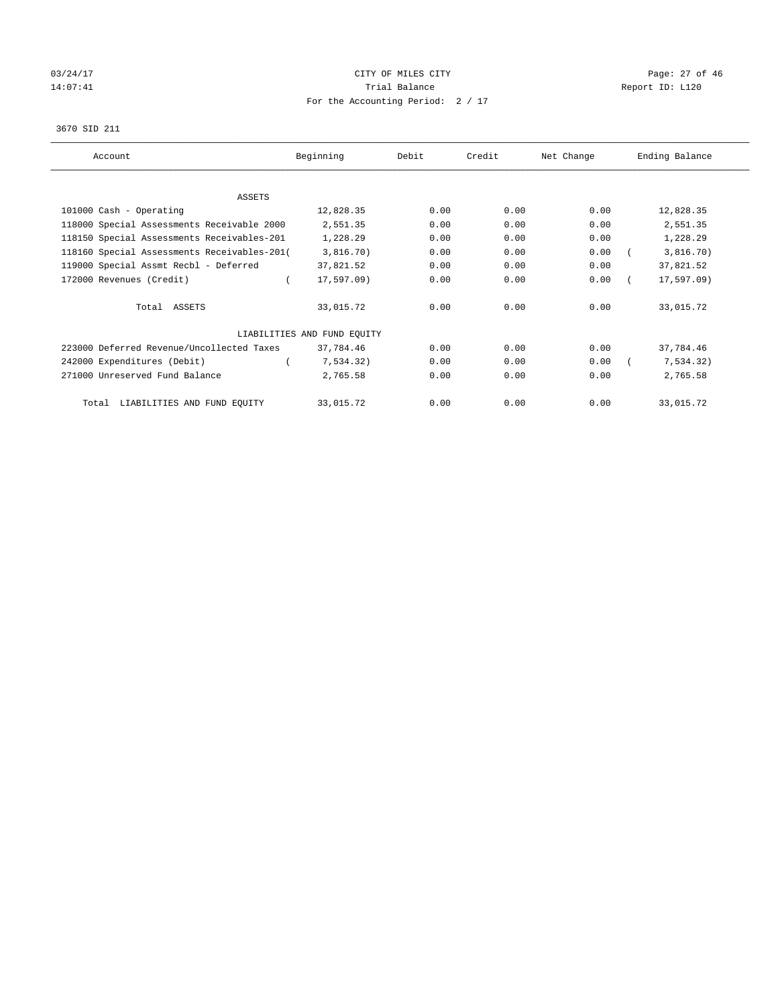# 03/24/17 Page: 27 of 46 14:07:41 CHEREN Report ID: L120 For the Accounting Period: 2 / 17

#### 3670 SID 211

| Account                                     | Beginning                   | Debit | Credit | Net Change | Ending Balance |
|---------------------------------------------|-----------------------------|-------|--------|------------|----------------|
|                                             |                             |       |        |            |                |
| ASSETS                                      |                             |       |        |            |                |
| 101000 Cash - Operating                     | 12,828.35                   | 0.00  | 0.00   | 0.00       | 12,828.35      |
| 118000 Special Assessments Receivable 2000  | 2,551.35                    | 0.00  | 0.00   | 0.00       | 2,551.35       |
| 118150 Special Assessments Receivables-201  | 1,228.29                    | 0.00  | 0.00   | 0.00       | 1,228.29       |
| 118160 Special Assessments Receivables-201( | 3,816.70)                   | 0.00  | 0.00   | 0.00       | 3,816.70)      |
| 119000 Special Assmt Recbl - Deferred       | 37,821.52                   | 0.00  | 0.00   | 0.00       | 37,821.52      |
| 172000 Revenues (Credit)                    | 17,597.09)                  | 0.00  | 0.00   | 0.00       | $17, 597.09$ ) |
| Total ASSETS                                | 33,015.72                   | 0.00  | 0.00   | 0.00       | 33,015.72      |
|                                             | LIABILITIES AND FUND EOUITY |       |        |            |                |
| 223000 Deferred Revenue/Uncollected Taxes   | 37,784.46                   | 0.00  | 0.00   | 0.00       | 37,784.46      |
| 242000 Expenditures (Debit)                 | 7,534.32)                   | 0.00  | 0.00   | 0.00       | 7,534.32)      |
| 271000 Unreserved Fund Balance              | 2,765.58                    | 0.00  | 0.00   | 0.00       | 2,765.58       |
| LIABILITIES AND FUND EQUITY<br>Total        | 33,015.72                   | 0.00  | 0.00   | 0.00       | 33,015.72      |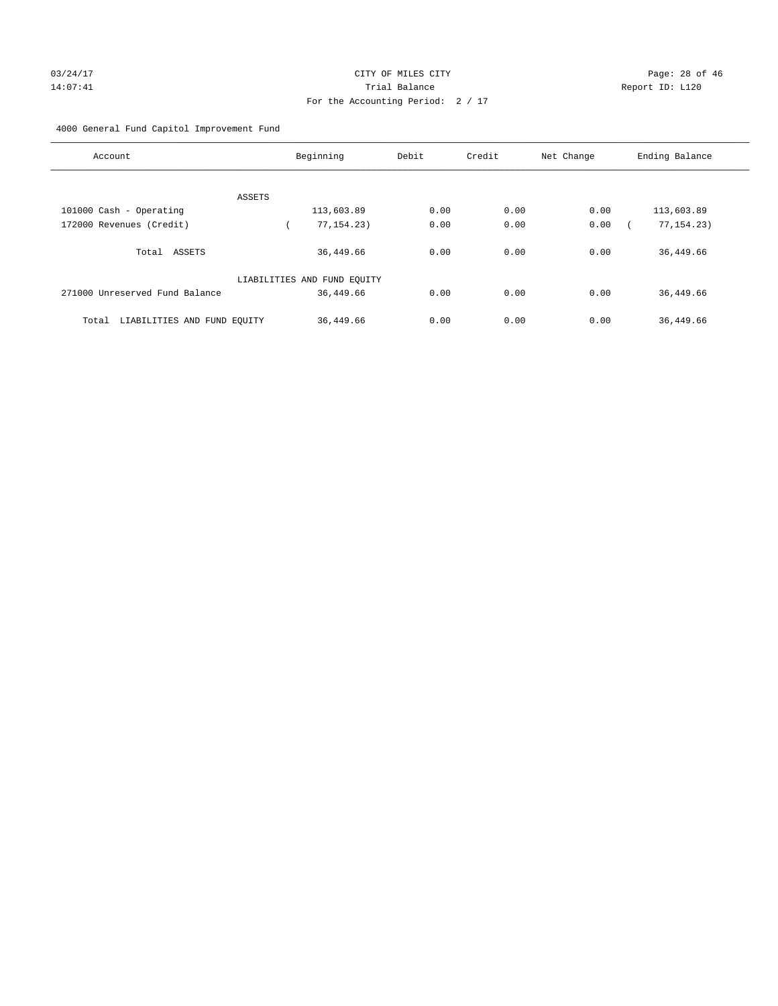# For the Accounting Period: 2 / 17

# 4000 General Fund Capitol Improvement Fund

| Account                              | Beginning                   | Debit | Credit | Net Change | Ending Balance |
|--------------------------------------|-----------------------------|-------|--------|------------|----------------|
|                                      |                             |       |        |            |                |
| ASSETS                               |                             |       |        |            |                |
| 101000 Cash - Operating              | 113,603.89                  | 0.00  | 0.00   | 0.00       | 113,603.89     |
| 172000 Revenues (Credit)             | 77, 154. 23)                | 0.00  | 0.00   | 0.00       | 77, 154. 23)   |
| Total ASSETS                         | 36,449.66                   | 0.00  | 0.00   | 0.00       | 36,449.66      |
|                                      | LIABILITIES AND FUND EQUITY |       |        |            |                |
| 271000 Unreserved Fund Balance       | 36,449.66                   | 0.00  | 0.00   | 0.00       | 36,449.66      |
| LIABILITIES AND FUND EQUITY<br>Total | 36,449.66                   | 0.00  | 0.00   | 0.00       | 36,449.66      |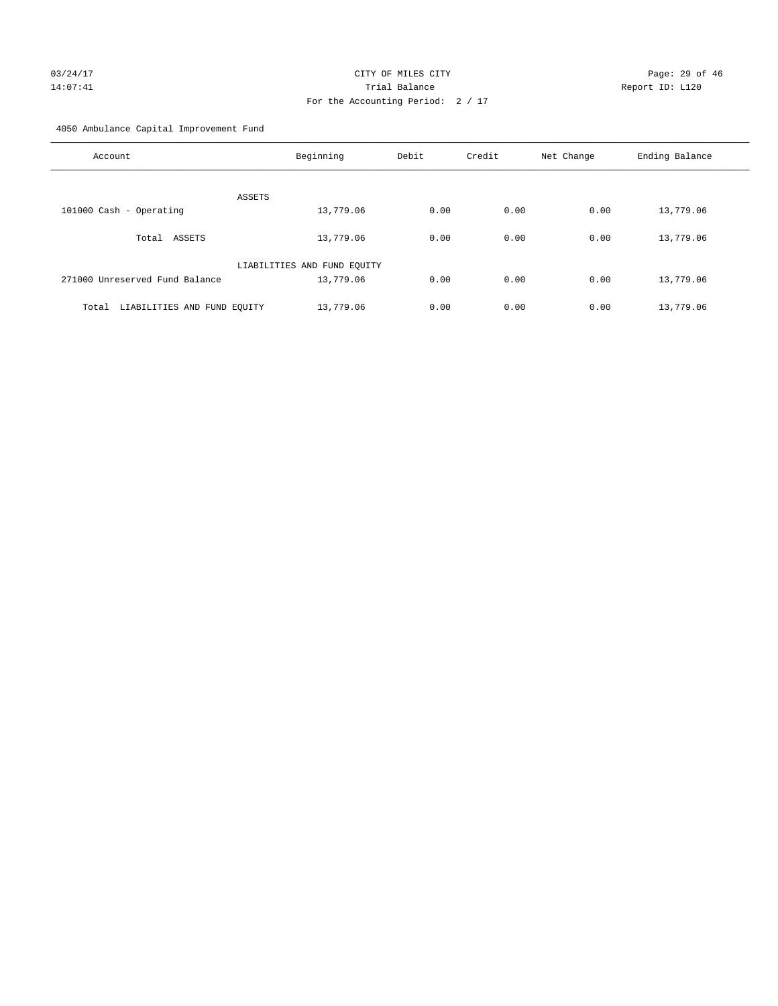# 03/24/17 Page: 29 of 46 14:07:41 Trial Balance Report ID: L120 For the Accounting Period: 2 / 17

4050 Ambulance Capital Improvement Fund

| Account                              | Beginning                   | Debit | Credit | Net Change | Ending Balance |
|--------------------------------------|-----------------------------|-------|--------|------------|----------------|
| ASSETS                               |                             |       |        |            |                |
| 101000 Cash - Operating              | 13,779.06                   | 0.00  | 0.00   | 0.00       | 13,779.06      |
| Total ASSETS                         | 13,779.06                   | 0.00  | 0.00   | 0.00       | 13,779.06      |
|                                      | LIABILITIES AND FUND EQUITY |       |        |            |                |
| 271000 Unreserved Fund Balance       | 13,779.06                   | 0.00  | 0.00   | 0.00       | 13,779.06      |
| LIABILITIES AND FUND EQUITY<br>Total | 13,779.06                   | 0.00  | 0.00   | 0.00       | 13,779.06      |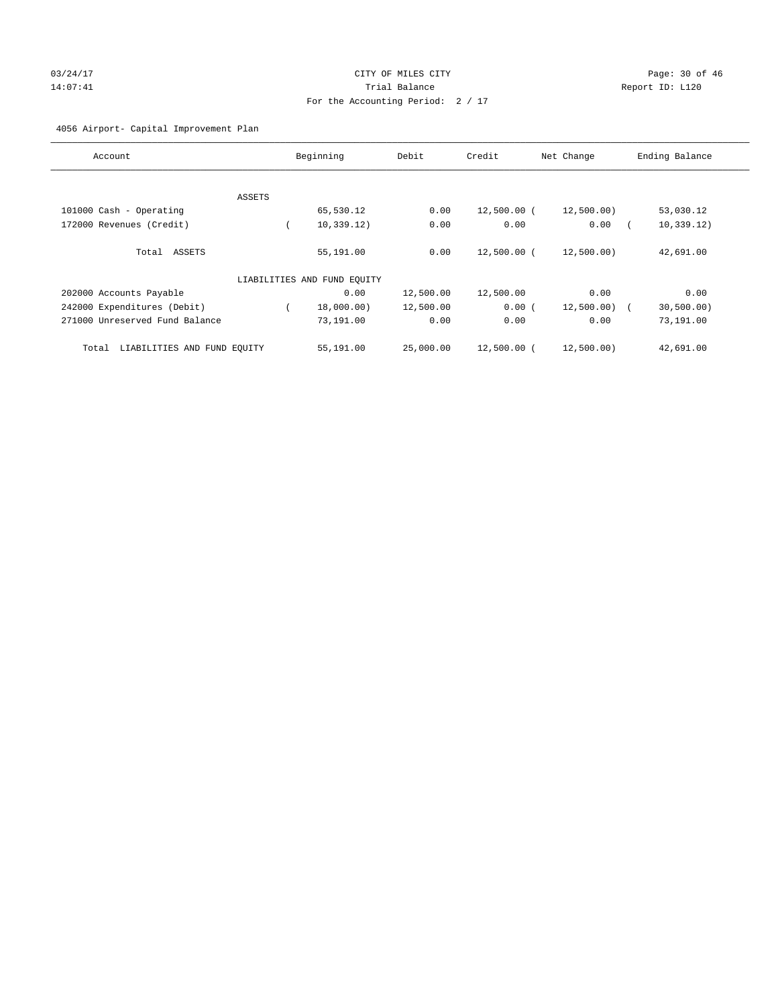# 03/24/17 Page: 30 of 46 14:07:41 CHEREN Report ID: L120 For the Accounting Period: 2 / 17

# 4056 Airport- Capital Improvement Plan

| Account                              |        | Beginning                   | Debit     | Credit      | Net Change     | Ending Balance |
|--------------------------------------|--------|-----------------------------|-----------|-------------|----------------|----------------|
|                                      |        |                             |           |             |                |                |
|                                      | ASSETS |                             |           |             |                |                |
| 101000 Cash - Operating              |        | 65,530.12                   | 0.00      | 12,500.00 ( | 12,500.00)     | 53,030.12      |
| 172000 Revenues (Credit)             |        | 10, 339.12)                 | 0.00      | 0.00        | 0.00           | 10, 339.12)    |
| Total ASSETS                         |        | 55,191.00                   | 0.00      | 12,500.00 ( | 12,500.00)     | 42,691.00      |
|                                      |        | LIABILITIES AND FUND EQUITY |           |             |                |                |
| 202000 Accounts Payable              |        | 0.00                        | 12,500.00 | 12,500.00   | 0.00           | 0.00           |
| 242000 Expenditures (Debit)          |        | 18,000.00)                  | 12,500.00 | 0.00(       | $12,500.00)$ ( | 30, 500.00)    |
| 271000 Unreserved Fund Balance       |        | 73,191.00                   | 0.00      | 0.00        | 0.00           | 73,191.00      |
| LIABILITIES AND FUND EQUITY<br>Total |        | 55,191.00                   | 25,000.00 | 12,500.00 ( | 12,500.00)     | 42,691.00      |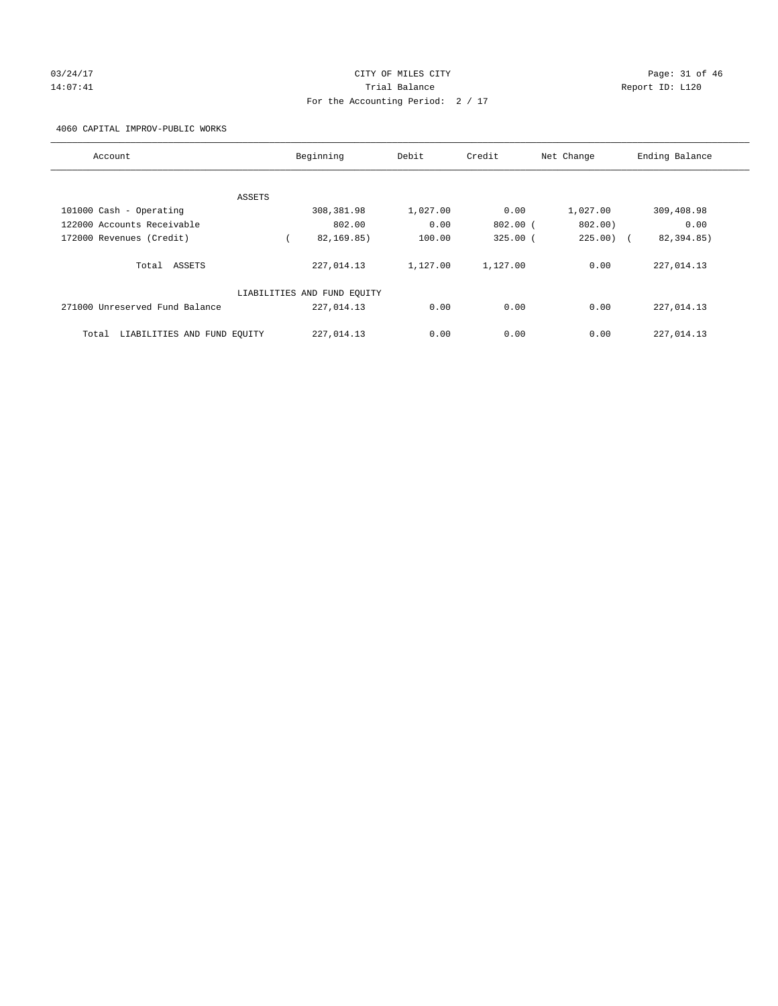# 03/24/17 Page: 31 of 46 14:07:41 Trial Balance Report ID: L120 For the Accounting Period: 2 / 17

4060 CAPITAL IMPROV-PUBLIC WORKS

| Account                              | Beginning                   | Debit    | Credit       | Net Change | Ending Balance |
|--------------------------------------|-----------------------------|----------|--------------|------------|----------------|
|                                      |                             |          |              |            |                |
| ASSETS                               |                             |          |              |            |                |
| 101000 Cash - Operating              | 308,381.98                  | 1,027.00 | 0.00         | 1,027.00   | 309,408.98     |
| 122000 Accounts Receivable           | 802.00                      | 0.00     | $802.00$ (   | 802.00)    | 0.00           |
| 172000 Revenues (Credit)             | 82, 169, 85)                | 100.00   | $325.00$ $($ | $225.00$ ( | 82,394.85)     |
| Total ASSETS                         | 227,014.13                  | 1,127.00 | 1,127.00     | 0.00       | 227,014.13     |
|                                      | LIABILITIES AND FUND EQUITY |          |              |            |                |
| 271000 Unreserved Fund Balance       | 227,014.13                  | 0.00     | 0.00         | 0.00       | 227,014.13     |
| LIABILITIES AND FUND EQUITY<br>Total | 227,014.13                  | 0.00     | 0.00         | 0.00       | 227,014.13     |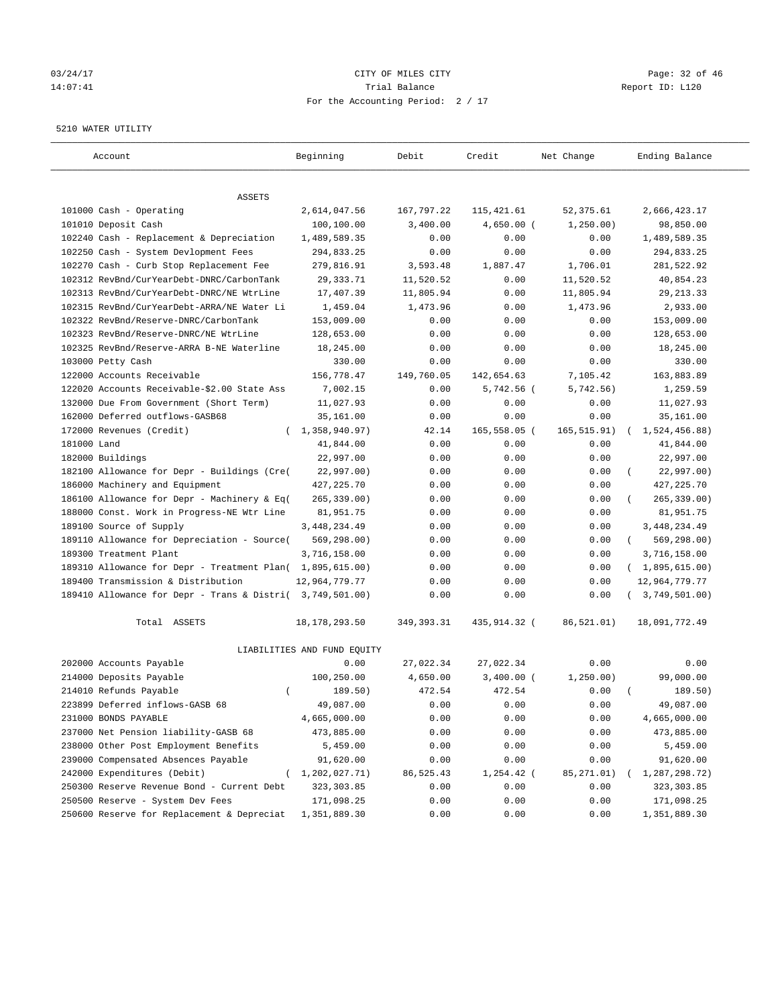# 03/24/17 Page: 32 of 46 14:07:41 Trial Balance Report ID: L120 For the Accounting Period: 2 / 17

#### 5210 WATER UTILITY

| Account                                                   | Beginning                   | Debit        | Credit       | Net Change   | Ending Balance          |
|-----------------------------------------------------------|-----------------------------|--------------|--------------|--------------|-------------------------|
| ASSETS                                                    |                             |              |              |              |                         |
| 101000 Cash - Operating                                   | 2,614,047.56                | 167,797.22   | 115,421.61   | 52,375.61    | 2,666,423.17            |
| 101010 Deposit Cash                                       | 100,100.00                  | 3,400.00     | $4,650.00$ ( | 1, 250.00)   | 98,850.00               |
| 102240 Cash - Replacement & Depreciation                  | 1,489,589.35                | 0.00         | 0.00         | 0.00         | 1,489,589.35            |
| 102250 Cash - System Devlopment Fees                      | 294,833.25                  | 0.00         | 0.00         | 0.00         | 294,833.25              |
| 102270 Cash - Curb Stop Replacement Fee                   | 279,816.91                  | 3,593.48     | 1,887.47     | 1,706.01     | 281,522.92              |
| 102312 RevBnd/CurYearDebt-DNRC/CarbonTank                 | 29,333.71                   | 11,520.52    | 0.00         | 11,520.52    | 40,854.23               |
| 102313 RevBnd/CurYearDebt-DNRC/NE WtrLine                 | 17,407.39                   | 11,805.94    | 0.00         | 11,805.94    | 29, 213.33              |
| 102315 RevBnd/CurYearDebt-ARRA/NE Water Li                | 1,459.04                    | 1,473.96     | 0.00         | 1,473.96     | 2,933.00                |
| 102322 RevBnd/Reserve-DNRC/CarbonTank                     | 153,009.00                  | 0.00         | 0.00         | 0.00         | 153,009.00              |
| 102323 RevBnd/Reserve-DNRC/NE WtrLine                     | 128,653.00                  | 0.00         | 0.00         | 0.00         | 128,653.00              |
| 102325 RevBnd/Reserve-ARRA B-NE Waterline                 | 18,245.00                   | 0.00         | 0.00         | 0.00         | 18,245.00               |
| 103000 Petty Cash                                         | 330.00                      | 0.00         | 0.00         | 0.00         | 330.00                  |
| 122000 Accounts Receivable                                | 156,778.47                  | 149,760.05   | 142,654.63   | 7,105.42     | 163,883.89              |
| 122020 Accounts Receivable-\$2.00 State Ass               | 7,002.15                    | 0.00         | $5,742.56$ ( | 5,742.56)    | 1,259.59                |
| 132000 Due From Government (Short Term)                   | 11,027.93                   | 0.00         | 0.00         | 0.00         | 11,027.93               |
| 162000 Deferred outflows-GASB68                           | 35,161.00                   | 0.00         | 0.00         | 0.00         | 35,161.00               |
| 172000 Revenues (Credit)                                  | (1, 358, 940.97)            | 42.14        | 165,558.05 ( | 165, 515.91) | 1,524,456.88)           |
| 181000 Land                                               | 41,844.00                   | 0.00         | 0.00         | 0.00         | 41,844.00               |
| 182000 Buildings                                          | 22,997.00                   | 0.00         | 0.00         | 0.00         | 22,997.00               |
| 182100 Allowance for Depr - Buildings (Cre(               | 22,997.00)                  | 0.00         | 0.00         | 0.00         | 22,997.00)              |
| 186000 Machinery and Equipment                            | 427, 225.70                 | 0.00         | 0.00         | 0.00         | 427, 225.70             |
| 186100 Allowance for Depr - Machinery & Eq(               | 265, 339.00)                | 0.00         | 0.00         | 0.00         | 265, 339.00)            |
| 188000 Const. Work in Progress-NE Wtr Line                | 81,951.75                   | 0.00         | 0.00         | 0.00         | 81,951.75               |
| 189100 Source of Supply                                   | 3, 448, 234.49              | 0.00         | 0.00         | 0.00         | 3,448,234.49            |
| 189110 Allowance for Depreciation - Source(               | 569,298.00)                 | 0.00         | 0.00         | 0.00         | 569,298.00)<br>$\left($ |
| 189300 Treatment Plant                                    | 3,716,158.00                | 0.00         | 0.00         | 0.00         | 3,716,158.00            |
| 189310 Allowance for Depr - Treatment Plan(               | 1,895,615.00)               | 0.00         | 0.00         | 0.00         | (1,895,615.00)          |
| 189400 Transmission & Distribution                        | 12,964,779.77               | 0.00         | 0.00         | 0.00         | 12,964,779.77           |
| 189410 Allowance for Depr - Trans & Distri( 3,749,501.00) |                             | 0.00         | 0.00         | 0.00         | 3,749,501.00)           |
| Total ASSETS                                              | 18, 178, 293.50             | 349, 393. 31 | 435,914.32 ( | 86,521.01)   | 18,091,772.49           |
|                                                           | LIABILITIES AND FUND EQUITY |              |              |              |                         |
| 202000 Accounts Payable                                   | 0.00                        | 27,022.34    | 27,022.34    | 0.00         | 0.00                    |
| 214000 Deposits Payable                                   | 100,250.00                  | 4,650.00     | 3,400.00 (   | 1, 250.00)   | 99,000.00               |
| 214010 Refunds Payable<br>$\left($                        | 189.50)                     | 472.54       | 472.54       | 0.00         | 189.50)                 |
| 223899 Deferred inflows-GASB 68                           | 49,087.00                   | 0.00         | 0.00         | 0.00         | 49,087.00               |
| 231000 BONDS PAYABLE                                      | 4,665,000.00                | 0.00         | 0.00         | 0.00         | 4,665,000.00            |
| 237000 Net Pension liability-GASB 68                      | 473,885.00                  | 0.00         | 0.00         | 0.00         | 473,885.00              |
| 238000 Other Post Employment Benefits                     | 5,459.00                    | 0.00         | 0.00         | 0.00         | 5,459.00                |
| 239000 Compensated Absences Payable                       | 91,620.00                   | 0.00         | 0.00         | 0.00         | 91,620.00               |
| 242000 Expenditures (Debit)                               | (1, 202, 027.71)            | 86,525.43    | $1,254.42$ ( | 85,271.01)   | 1,287,298.72)           |
| 250300 Reserve Revenue Bond - Current Debt                | 323, 303.85                 | 0.00         | 0.00         | 0.00         | 323, 303.85             |
| 250500 Reserve - System Dev Fees                          | 171,098.25                  | 0.00         | 0.00         | 0.00         | 171,098.25              |
| 250600 Reserve for Replacement & Depreciat                | 1,351,889.30                | 0.00         | 0.00         | 0.00         | 1,351,889.30            |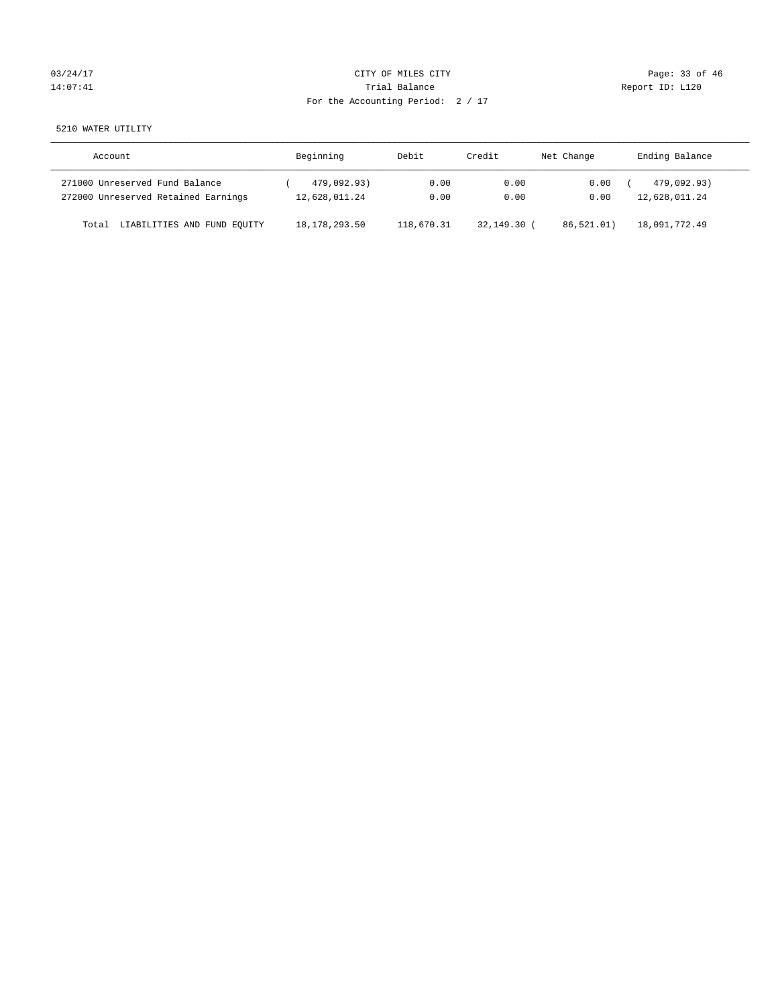# 03/24/17 Page: 33 of 46 14:07:41 CHEREN Report ID: L120 For the Accounting Period: 2 / 17

5210 WATER UTILITY

| Account                              | Beginning       | Debit      | Credit        | Net Change | Ending Balance |
|--------------------------------------|-----------------|------------|---------------|------------|----------------|
| 271000 Unreserved Fund Balance       | 479,092.93)     | 0.00       | 0.00          | 0.00       | 479,092.93)    |
| 272000 Unreserved Retained Earnings  | 12,628,011.24   | 0.00       | 0.00          | 0.00       | 12,628,011.24  |
| LIABILITIES AND FUND EQUITY<br>Total | 18, 178, 293.50 | 118,670.31 | $32.149.30$ ( | 86.521.01) | 18,091,772.49  |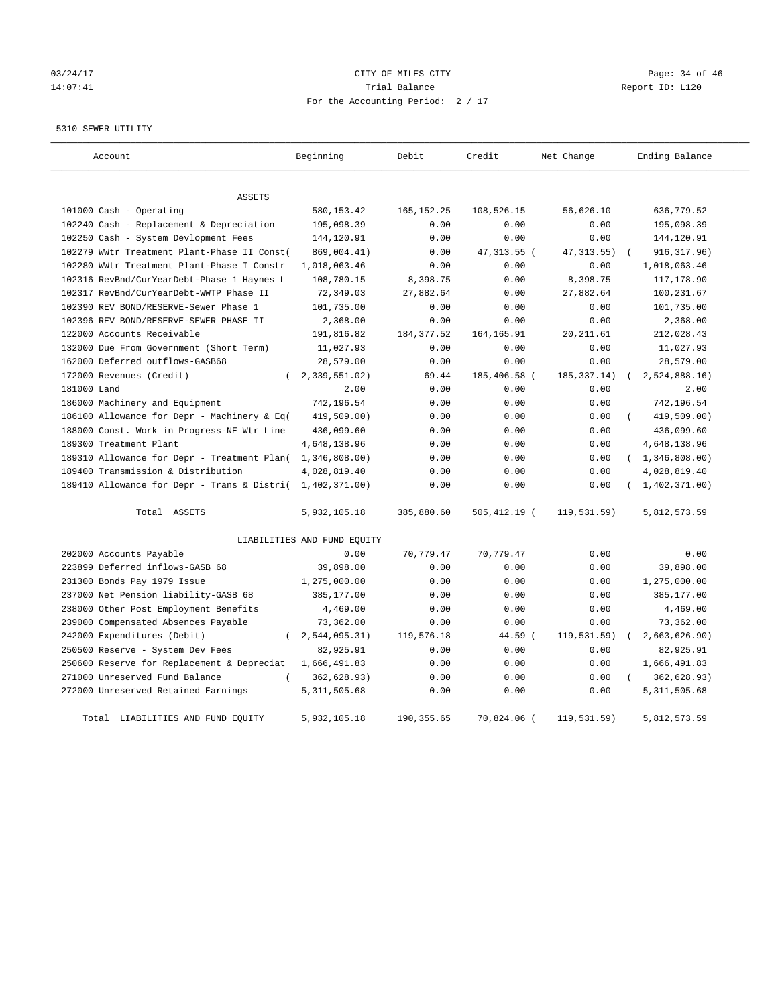# 03/24/17 Page: 34 of 46 14:07:41 CHEREN Report ID: L120 For the Accounting Period: 2 / 17

5310 SEWER UTILITY

| Account                                     | Beginning                   | Debit        | Credit       | Net Change     | Ending Balance   |
|---------------------------------------------|-----------------------------|--------------|--------------|----------------|------------------|
| <b>ASSETS</b>                               |                             |              |              |                |                  |
| 101000 Cash - Operating                     | 580,153.42                  | 165, 152. 25 | 108,526.15   | 56,626.10      | 636,779.52       |
| 102240 Cash - Replacement & Depreciation    | 195,098.39                  | 0.00         | 0.00         | 0.00           | 195,098.39       |
| 102250 Cash - System Devlopment Fees        | 144,120.91                  | 0.00         | 0.00         | 0.00           | 144,120.91       |
| 102279 WWtr Treatment Plant-Phase II Const( | 869,004.41)                 | 0.00         | 47, 313.55 ( | 47, 313.55)    | 916, 317.96)     |
| 102280 WWtr Treatment Plant-Phase I Constr  | 1,018,063.46                | 0.00         | 0.00         | 0.00           | 1,018,063.46     |
| 102316 RevBnd/CurYearDebt-Phase 1 Haynes L  | 108,780.15                  | 8,398.75     | 0.00         | 8,398.75       | 117,178.90       |
| 102317 RevBnd/CurYearDebt-WWTP Phase II     | 72,349.03                   | 27,882.64    | 0.00         | 27,882.64      | 100,231.67       |
| 102390 REV BOND/RESERVE-Sewer Phase 1       | 101,735.00                  | 0.00         | 0.00         | 0.00           | 101,735.00       |
| 102396 REV BOND/RESERVE-SEWER PHASE II      | 2,368.00                    | 0.00         | 0.00         | 0.00           | 2,368.00         |
| 122000 Accounts Receivable                  | 191,816.82                  | 184, 377.52  | 164, 165.91  | 20, 211.61     | 212,028.43       |
| 132000 Due From Government (Short Term)     | 11,027.93                   | 0.00         | 0.00         | 0.00           | 11,027.93        |
| 162000 Deferred outflows-GASB68             | 28,579.00                   | 0.00         | 0.00         | 0.00           | 28,579.00        |
| 172000 Revenues (Credit)<br>$\left($        | 2,339,551.02)               | 69.44        | 185,406.58 ( | 185, 337. 14)  | 2,524,888.16     |
| 181000 Land                                 | 2.00                        | 0.00         | 0.00         | 0.00           | 2.00             |
| 186000 Machinery and Equipment              | 742,196.54                  | 0.00         | 0.00         | 0.00           | 742,196.54       |
| 186100 Allowance for Depr - Machinery & Eq( | 419,509.00)                 | 0.00         | 0.00         | 0.00           | 419,509.00)      |
| 188000 Const. Work in Progress-NE Wtr Line  | 436,099.60                  | 0.00         | 0.00         | 0.00           | 436,099.60       |
| 189300 Treatment Plant                      | 4,648,138.96                | 0.00         | 0.00         | 0.00           | 4,648,138.96     |
| 189310 Allowance for Depr - Treatment Plan( | 1,346,808.00                | 0.00         | 0.00         | 0.00           | (1, 346, 808.00) |
| 189400 Transmission & Distribution          | 4,028,819.40                | 0.00         | 0.00         | 0.00           | 4,028,819.40     |
| 189410 Allowance for Depr - Trans & Distri( | 1,402,371.00)               | 0.00         | 0.00         | 0.00           | (1, 402, 371.00) |
| Total ASSETS                                | 5,932,105.18                | 385,880.60   | 505,412.19 ( | 119,531.59)    | 5,812,573.59     |
|                                             | LIABILITIES AND FUND EQUITY |              |              |                |                  |
| 202000 Accounts Payable                     | 0.00                        | 70,779.47    | 70,779.47    | 0.00           | 0.00             |
| 223899 Deferred inflows-GASB 68             | 39,898.00                   | 0.00         | 0.00         | 0.00           | 39,898.00        |
| 231300 Bonds Pay 1979 Issue                 | 1,275,000.00                | 0.00         | 0.00         | 0.00           | 1,275,000.00     |
| 237000 Net Pension liability-GASB 68        | 385,177.00                  | 0.00         | 0.00         | 0.00           | 385,177.00       |
| 238000 Other Post Employment Benefits       | 4,469.00                    | 0.00         | 0.00         | 0.00           | 4,469.00         |
| 239000 Compensated Absences Payable         | 73,362.00                   | 0.00         | 0.00         | 0.00           | 73,362.00        |
| 242000 Expenditures (Debit)<br>$\left($     | 2,544,095.31)               | 119,576.18   | 44.59 (      | 119, 531.59)   | 2,663,626.90)    |
| 250500 Reserve - System Dev Fees            | 82,925.91                   | 0.00         | 0.00         | 0.00           | 82,925.91        |
| 250600 Reserve for Replacement & Depreciat  | 1,666,491.83                | 0.00         | 0.00         | 0.00           | 1,666,491.83     |
| $\left($<br>271000 Unreserved Fund Balance  | 362,628.93)                 | 0.00         | 0.00         | 0.00           | 362,628.93)      |
| 272000 Unreserved Retained Earnings         | 5, 311, 505.68              | 0.00         | 0.00         | 0.00           | 5, 311, 505.68   |
| Total LIABILITIES AND FUND EQUITY           | 5,932,105.18                | 190, 355.65  | 70,824.06 (  | $119.531.59$ ) | 5,812,573.59     |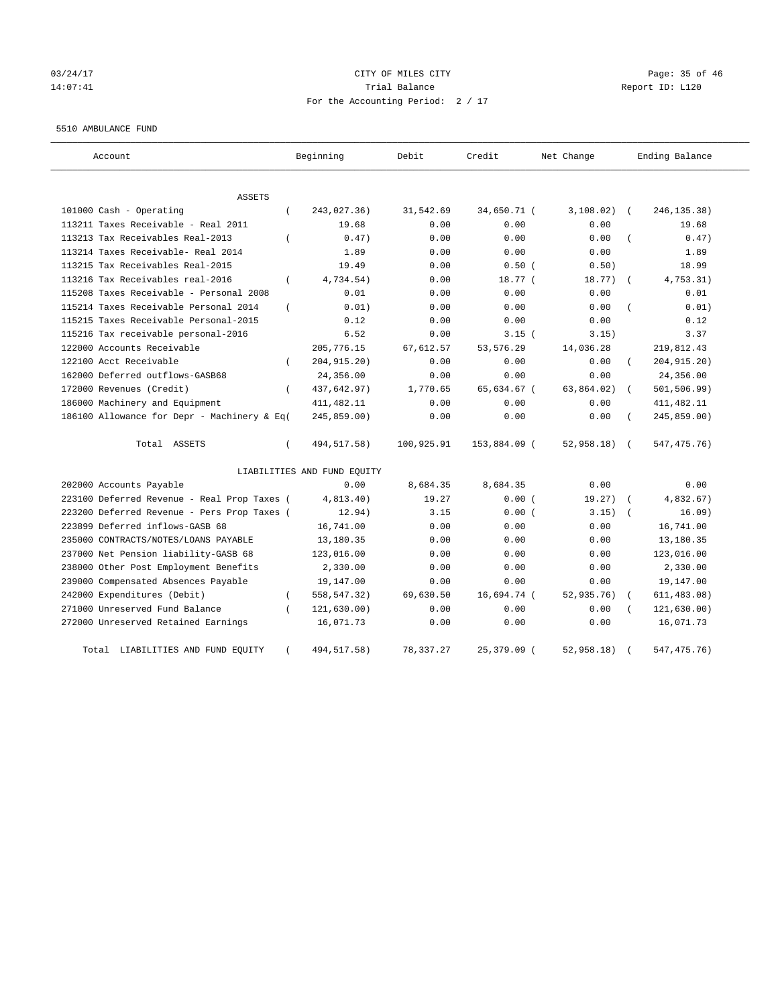# 03/24/17 Page: 35 of 46 14:07:41 Trial Balance Report ID: L120 For the Accounting Period: 2 / 17

#### 5510 AMBULANCE FUND

| Account                                           | Beginning                   | Debit      | Credit       | Net Change    | Ending Balance              |
|---------------------------------------------------|-----------------------------|------------|--------------|---------------|-----------------------------|
| <b>ASSETS</b>                                     |                             |            |              |               |                             |
| 101000 Cash - Operating<br>$\left($               | 243,027.36)                 | 31,542.69  | 34,650.71 (  | 3,108.02)     | 246, 135. 38)<br>$\sqrt{2}$ |
| 113211 Taxes Receivable - Real 2011               | 19.68                       | 0.00       | 0.00         | 0.00          | 19.68                       |
| 113213 Tax Receivables Real-2013<br>$\left($      | 0.47)                       | 0.00       | 0.00         | 0.00          | 0.47)                       |
| 113214 Taxes Receivable- Real 2014                | 1.89                        | 0.00       | 0.00         | 0.00          | 1.89                        |
| 113215 Tax Receivables Real-2015                  | 19.49                       | 0.00       | 0.50(        | 0.50)         | 18.99                       |
| 113216 Tax Receivables real-2016<br>$\left($      | 4,734.54)                   | 0.00       | 18.77 (      | 18.77)        | 4,753.31)<br>$\sqrt{2}$     |
| 115208 Taxes Receivable - Personal 2008           | 0.01                        | 0.00       | 0.00         | 0.00          | 0.01                        |
| 115214 Taxes Receivable Personal 2014<br>$\left($ | 0.01)                       | 0.00       | 0.00         | 0.00          | 0.01)                       |
| 115215 Taxes Receivable Personal-2015             | 0.12                        | 0.00       | 0.00         | 0.00          | 0.12                        |
| 115216 Tax receivable personal-2016               | 6.52                        | 0.00       | 3.15(        | 3.15)         | 3.37                        |
| 122000 Accounts Receivable                        | 205,776.15                  | 67,612.57  | 53, 576.29   | 14,036.28     | 219,812.43                  |
| 122100 Acct Receivable<br>$\left($                | 204, 915. 20)               | 0.00       | 0.00         | 0.00          | 204, 915.20)                |
| 162000 Deferred outflows-GASB68                   | 24,356.00                   | 0.00       | 0.00         | 0.00          | 24,356.00                   |
| 172000 Revenues (Credit)<br>$\left($              | 437,642.97)                 | 1,770.65   | 65,634.67 (  | 63,864.02)    | 501, 506.99)                |
| 186000 Machinery and Equipment                    | 411, 482.11                 | 0.00       | 0.00         | 0.00          | 411, 482.11                 |
| 186100 Allowance for Depr - Machinery & Eq(       | 245,859.00)                 | 0.00       | 0.00         | 0.00          | 245,859.00)                 |
| Total ASSETS<br>$\left($                          | 494, 517.58)                | 100,925.91 | 153,884.09 ( | $52,958.18$ ( | 547, 475.76)                |
|                                                   | LIABILITIES AND FUND EQUITY |            |              |               |                             |
| 202000 Accounts Payable                           | 0.00                        | 8,684.35   | 8,684.35     | 0.00          | 0.00                        |
| 223100 Deferred Revenue - Real Prop Taxes (       | 4,813.40)                   | 19.27      | 0.00(        | 19.27)        | 4,832.67)                   |
| 223200 Deferred Revenue - Pers Prop Taxes (       | 12.94)                      | 3.15       | 0.00(        | 3.15)         | 16.09)                      |
| 223899 Deferred inflows-GASB 68                   | 16,741.00                   | 0.00       | 0.00         | 0.00          | 16,741.00                   |
| 235000 CONTRACTS/NOTES/LOANS PAYABLE              | 13,180.35                   | 0.00       | 0.00         | 0.00          | 13,180.35                   |
| 237000 Net Pension liability-GASB 68              | 123,016.00                  | 0.00       | 0.00         | 0.00          | 123,016.00                  |
| 238000 Other Post Employment Benefits             | 2,330.00                    | 0.00       | 0.00         | 0.00          | 2,330.00                    |
| 239000 Compensated Absences Payable               | 19,147.00                   | 0.00       | 0.00         | 0.00          | 19,147.00                   |
| 242000 Expenditures (Debit)<br>$\left($           | 558, 547. 32)               | 69,630.50  | 16,694.74 (  | 52,935.76)    | 611, 483.08)                |
| 271000 Unreserved Fund Balance<br>$\left($        | 121,630.00)                 | 0.00       | 0.00         | 0.00          | 121, 630.00)                |
| 272000 Unreserved Retained Earnings               | 16,071.73                   | 0.00       | 0.00         | 0.00          | 16,071.73                   |
| Total LIABILITIES AND FUND EQUITY<br>$\left($     | 494, 517. 58)               | 78, 337.27 | 25,379.09 (  | 52,958.18)    | 547, 475. 76)               |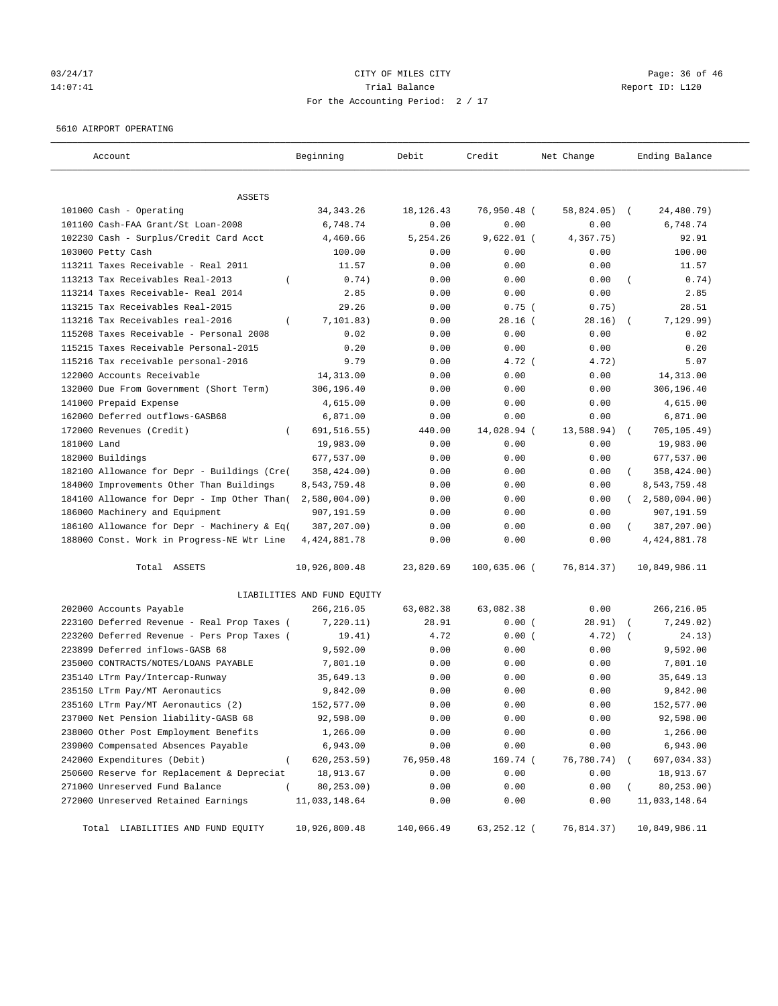# 03/24/17 Page: 36 of 46 14:07:41 CHEREN Report ID: L120 For the Accounting Period: 2 / 17

#### 5610 AIRPORT OPERATING

| Account                                      | Beginning                   | Debit       | Credit         | Net Change    | Ending Balance             |
|----------------------------------------------|-----------------------------|-------------|----------------|---------------|----------------------------|
| ASSETS                                       |                             |             |                |               |                            |
| 101000 Cash - Operating                      | 34, 343. 26                 | 18, 126. 43 | 76,950.48 (    | $58,824.05$ ( | 24,480.79)                 |
| 101100 Cash-FAA Grant/St Loan-2008           | 6,748.74                    | 0.00        | 0.00           | 0.00          | 6,748.74                   |
| 102230 Cash - Surplus/Credit Card Acct       | 4,460.66                    | 5,254.26    | $9,622.01$ (   | 4,367.75)     | 92.91                      |
| 103000 Petty Cash                            | 100.00                      | 0.00        | 0.00           | 0.00          | 100.00                     |
| 113211 Taxes Receivable - Real 2011          | 11.57                       | 0.00        | 0.00           | 0.00          | 11.57                      |
| 113213 Tax Receivables Real-2013             | 0.74)                       | 0.00        | 0.00           | 0.00          | 0.74)                      |
| 113214 Taxes Receivable- Real 2014           | 2.85                        | 0.00        | 0.00           | 0.00          | 2.85                       |
| 113215 Tax Receivables Real-2015             | 29.26                       | 0.00        | $0.75$ (       | 0.75)         | 28.51                      |
| 113216 Tax Receivables real-2016<br>$\left($ | 7, 101.83)                  | 0.00        | $28.16$ (      | 28.16)        | 7,129.99)                  |
| 115208 Taxes Receivable - Personal 2008      | 0.02                        | 0.00        | 0.00           | 0.00          | 0.02                       |
| 115215 Taxes Receivable Personal-2015        | 0.20                        | 0.00        | 0.00           | 0.00          | 0.20                       |
| 115216 Tax receivable personal-2016          | 9.79                        | 0.00        | $4.72$ (       | 4.72)         | 5.07                       |
| 122000 Accounts Receivable                   | 14,313.00                   | 0.00        | 0.00           | 0.00          | 14,313.00                  |
| 132000 Due From Government (Short Term)      | 306,196.40                  | 0.00        | 0.00           | 0.00          | 306,196.40                 |
| 141000 Prepaid Expense                       | 4,615.00                    | 0.00        | 0.00           | 0.00          | 4,615.00                   |
| 162000 Deferred outflows-GASB68              | 6,871.00                    | 0.00        | 0.00           | 0.00          | 6,871.00                   |
| 172000 Revenues (Credit)                     | 691,516.55)                 | 440.00      | 14,028.94 (    | 13,588.94)    | 705, 105.49)<br>$\sqrt{2}$ |
| 181000 Land                                  | 19,983.00                   | 0.00        | 0.00           | 0.00          | 19,983.00                  |
| 182000 Buildings                             | 677,537.00                  | 0.00        | 0.00           | 0.00          | 677,537.00                 |
| 182100 Allowance for Depr - Buildings (Cre(  | 358,424.00)                 | 0.00        | 0.00           | 0.00          | 358,424.00)                |
| 184000 Improvements Other Than Buildings     | 8,543,759.48                | 0.00        | 0.00           | 0.00          | 8,543,759.48               |
| 184100 Allowance for Depr - Imp Other Than(  | $2,580,004.00$ )            | 0.00        | 0.00           | 0.00          | 2,580,004.00<br>$\sqrt{2}$ |
| 186000 Machinery and Equipment               | 907,191.59                  | 0.00        | 0.00           | 0.00          | 907,191.59                 |
| 186100 Allowance for Depr - Machinery & Eq(  | 387,207.00)                 | 0.00        | 0.00           | 0.00          | 387,207.00)<br>$\left($    |
|                                              | 4, 424, 881.78              | 0.00        | 0.00           | 0.00          | 4, 424, 881.78             |
| 188000 Const. Work in Progress-NE Wtr Line   |                             |             |                |               |                            |
| Total ASSETS                                 | 10,926,800.48               | 23,820.69   | $100,635.06$ ( | 76,814.37)    | 10,849,986.11              |
|                                              | LIABILITIES AND FUND EQUITY |             |                |               |                            |
| 202000 Accounts Payable                      | 266,216.05                  | 63,082.38   | 63,082.38      | 0.00          | 266,216.05                 |
| 223100 Deferred Revenue - Real Prop Taxes (  | 7,220.11)                   | 28.91       | 0.00(          | 28.91)        | 7,249.02)                  |
| 223200 Deferred Revenue - Pers Prop Taxes (  | 19.41)                      | 4.72        | 0.00(          | 4.72)         | 24.13)<br>$\sqrt{2}$       |
| 223899 Deferred inflows-GASB 68              | 9,592.00                    | 0.00        | 0.00           | 0.00          | 9,592.00                   |
| 235000 CONTRACTS/NOTES/LOANS PAYABLE         | 7,801.10                    | 0.00        | 0.00           | 0.00          | 7,801.10                   |
| 235140 LTrm Pay/Intercap-Runway              | 35,649.13                   | 0.00        | 0.00           | 0.00          | 35,649.13                  |
| 235150 LTrm Pay/MT Aeronautics               | 9,842.00                    | 0.00        | 0.00           | 0.00          | 9,842.00                   |
| 235160 LTrm Pay/MT Aeronautics (2)           | 152,577.00                  | 0.00        | 0.00           | 0.00          | 152,577.00                 |
| 237000 Net Pension liability-GASB 68         | 92,598.00                   | 0.00        | 0.00           | 0.00          | 92,598.00                  |
| 238000 Other Post Employment Benefits        | 1,266.00                    | 0.00        | 0.00           | 0.00          | 1,266.00                   |
| 239000 Compensated Absences Payable          | 6,943.00                    | 0.00        | 0.00           | 0.00          | 6,943.00                   |
| 242000 Expenditures (Debit)                  | 620, 253.59)                | 76,950.48   | 169.74 (       | 76,780.74)    | 697,034.33)                |
| 250600 Reserve for Replacement & Depreciat   | 18,913.67                   | 0.00        | 0.00           | 0.00          | 18,913.67                  |
| 271000 Unreserved Fund Balance               | 80,253.00)                  | 0.00        | 0.00           | 0.00          | 80,253.00)                 |
| 272000 Unreserved Retained Earnings          | 11,033,148.64               | 0.00        | 0.00           | 0.00          | 11,033,148.64              |
| Total LIABILITIES AND FUND EQUITY            | 10,926,800.48               | 140,066.49  | 63,252.12 (    | 76,814.37)    | 10,849,986.11              |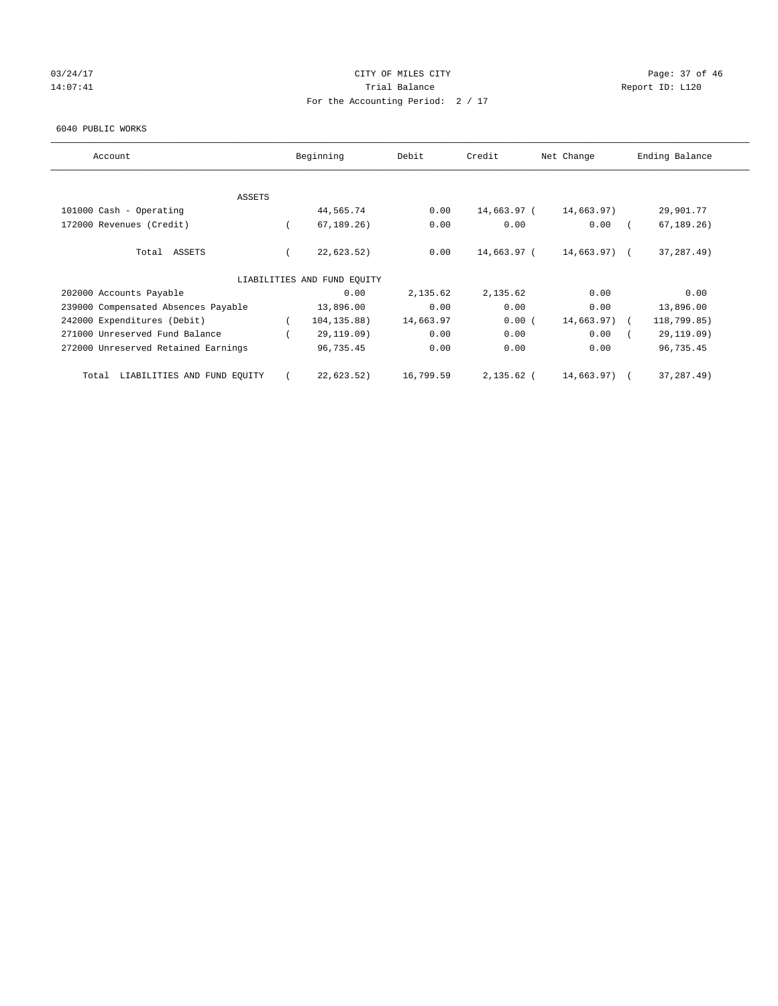# 03/24/17 Page: 37 of 46 14:07:41 CHEREN Report ID: L120 For the Accounting Period: 2 / 17

#### 6040 PUBLIC WORKS

| Account                              | Beginning                   | Debit     | Credit       | Net Change    | Ending Balance |      |
|--------------------------------------|-----------------------------|-----------|--------------|---------------|----------------|------|
| <b>ASSETS</b>                        |                             |           |              |               |                |      |
| 101000 Cash - Operating              | 44,565.74                   | 0.00      | 14,663.97 (  | 14,663.97)    | 29,901.77      |      |
| 172000 Revenues (Credit)             | 67, 189.26                  | 0.00      | 0.00         | 0.00          | 67, 189.26)    |      |
| Total ASSETS                         | 22,623.52)                  | 0.00      | 14,663.97 (  | 14,663.97) (  | 37, 287. 49)   |      |
|                                      | LIABILITIES AND FUND EQUITY |           |              |               |                |      |
| 202000 Accounts Payable              | 0.00                        | 2,135.62  | 2,135.62     | 0.00          |                | 0.00 |
| 239000 Compensated Absences Payable  | 13,896.00                   | 0.00      | 0.00         | 0.00          | 13,896.00      |      |
| 242000 Expenditures (Debit)          | 104, 135.88)                | 14,663.97 | 0.00(        | $14,663.97$ ( | 118,799.85)    |      |
| 271000 Unreserved Fund Balance       | 29,119.09)                  | 0.00      | 0.00         | 0.00          | 29,119.09)     |      |
| 272000 Unreserved Retained Earnings  | 96,735.45                   | 0.00      | 0.00         | 0.00          | 96,735.45      |      |
| LIABILITIES AND FUND EQUITY<br>Total | 22,623.52)                  | 16,799.59 | $2,135.62$ ( | 14,663.97)    | 37,287.49)     |      |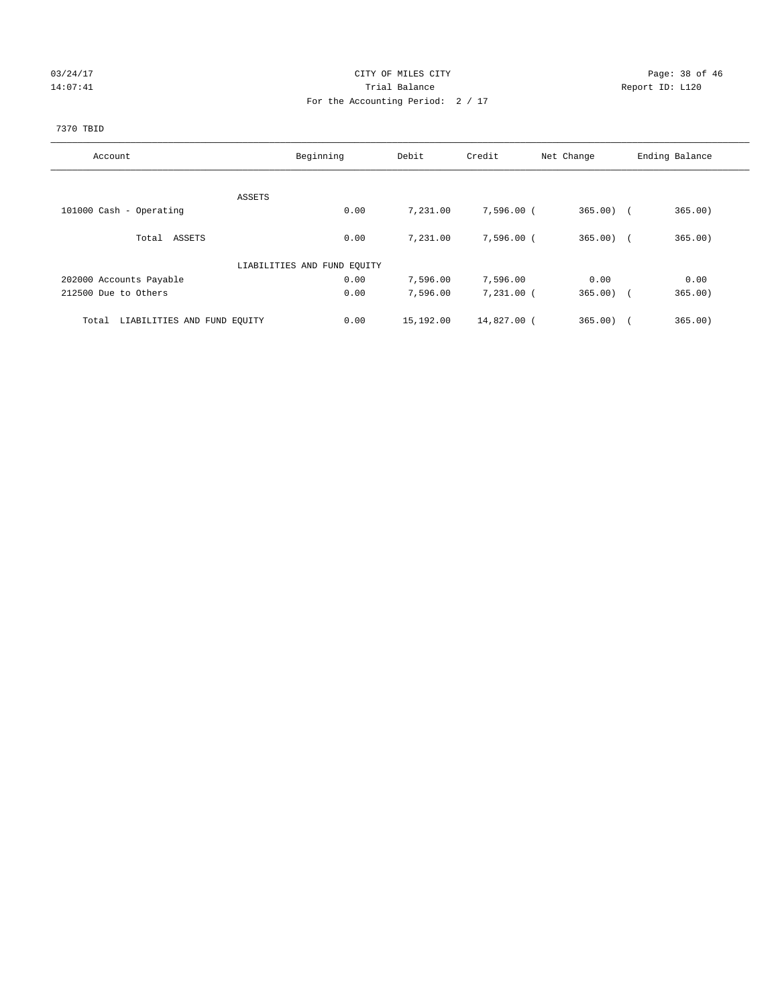# 03/24/17 Page: 38 of 46 14:07:41 CHEREN Report ID: L120 For the Accounting Period: 2 / 17

# 7370 TBID

| Account                              | Beginning                   | Debit     | Credit       | Net Change | Ending Balance |
|--------------------------------------|-----------------------------|-----------|--------------|------------|----------------|
|                                      |                             |           |              |            |                |
|                                      | ASSETS                      |           |              |            |                |
| 101000 Cash - Operating              | 0.00                        | 7,231.00  | 7,596.00 (   | $365.00$ ( | 365.00)        |
| Total ASSETS                         | 0.00                        | 7,231.00  | $7,596.00$ ( | $365.00$ ( | 365.00)        |
|                                      | LIABILITIES AND FUND EQUITY |           |              |            |                |
| 202000 Accounts Payable              | 0.00                        | 7,596.00  | 7,596.00     | 0.00       | 0.00           |
| 212500 Due to Others                 | 0.00                        | 7,596.00  | $7,231.00$ ( | $365.00$ ( | 365.00)        |
| LIABILITIES AND FUND EQUITY<br>Total | 0.00                        | 15,192.00 | 14,827.00 (  | 365.00     | 365.00)        |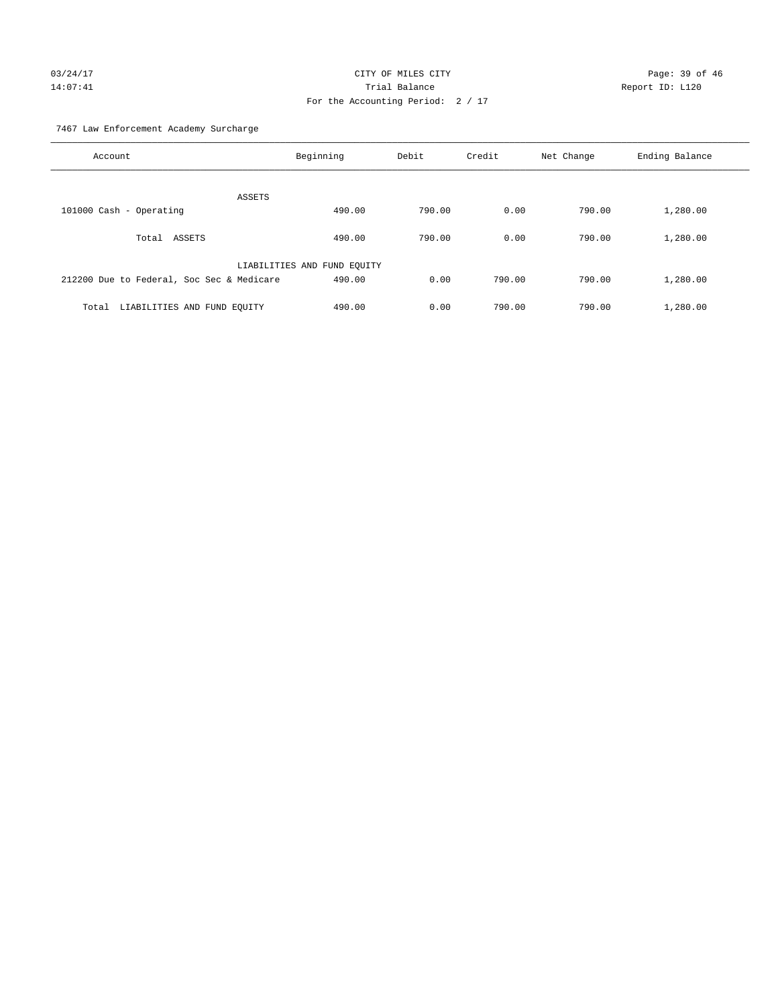# 03/24/17 Page: 39 of 46 14:07:41 Trial Balance Report ID: L120 For the Accounting Period: 2 / 17

7467 Law Enforcement Academy Surcharge

| Account                                   | Beginning                   | Debit  | Credit | Net Change | Ending Balance |
|-------------------------------------------|-----------------------------|--------|--------|------------|----------------|
| ASSETS                                    |                             |        |        |            |                |
| 101000 Cash - Operating                   | 490.00                      | 790.00 | 0.00   | 790.00     | 1,280.00       |
|                                           |                             |        |        |            |                |
| ASSETS<br>Total                           | 490.00                      | 790.00 | 0.00   | 790.00     | 1,280.00       |
|                                           |                             |        |        |            |                |
|                                           | LIABILITIES AND FUND EQUITY |        |        |            |                |
| 212200 Due to Federal, Soc Sec & Medicare | 490.00                      | 0.00   | 790.00 | 790.00     | 1,280.00       |
|                                           |                             |        |        |            |                |
| LIABILITIES AND FUND EQUITY<br>Total      | 490.00                      | 0.00   | 790.00 | 790.00     | 1,280.00       |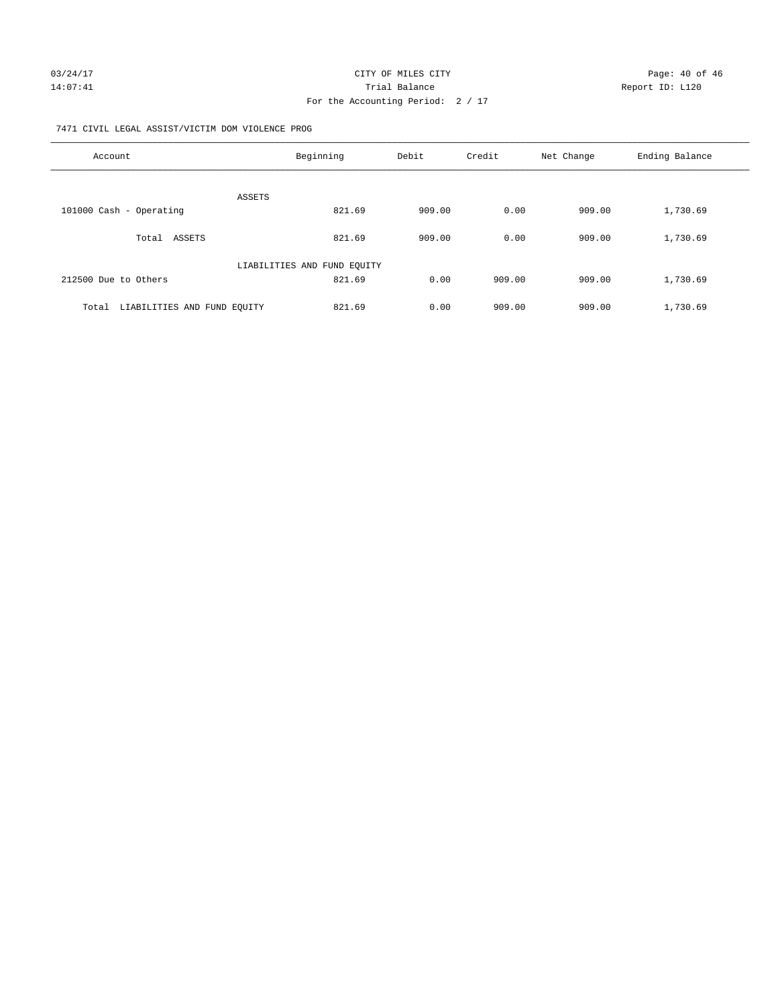## 7471 CIVIL LEGAL ASSIST/VICTIM DOM VIOLENCE PROG

| Account                           | Beginning                   | Debit  | Credit | Net Change | Ending Balance |
|-----------------------------------|-----------------------------|--------|--------|------------|----------------|
|                                   | ASSETS                      |        |        |            |                |
| 101000 Cash - Operating           | 821.69                      | 909.00 | 0.00   | 909.00     | 1,730.69       |
| Total ASSETS                      | 821.69                      | 909.00 | 0.00   | 909.00     | 1,730.69       |
|                                   | LIABILITIES AND FUND EQUITY |        |        |            |                |
| 212500 Due to Others              | 821.69                      | 0.00   | 909.00 | 909.00     | 1,730.69       |
| Total LIABILITIES AND FUND EQUITY | 821.69                      | 0.00   | 909.00 | 909.00     | 1,730.69       |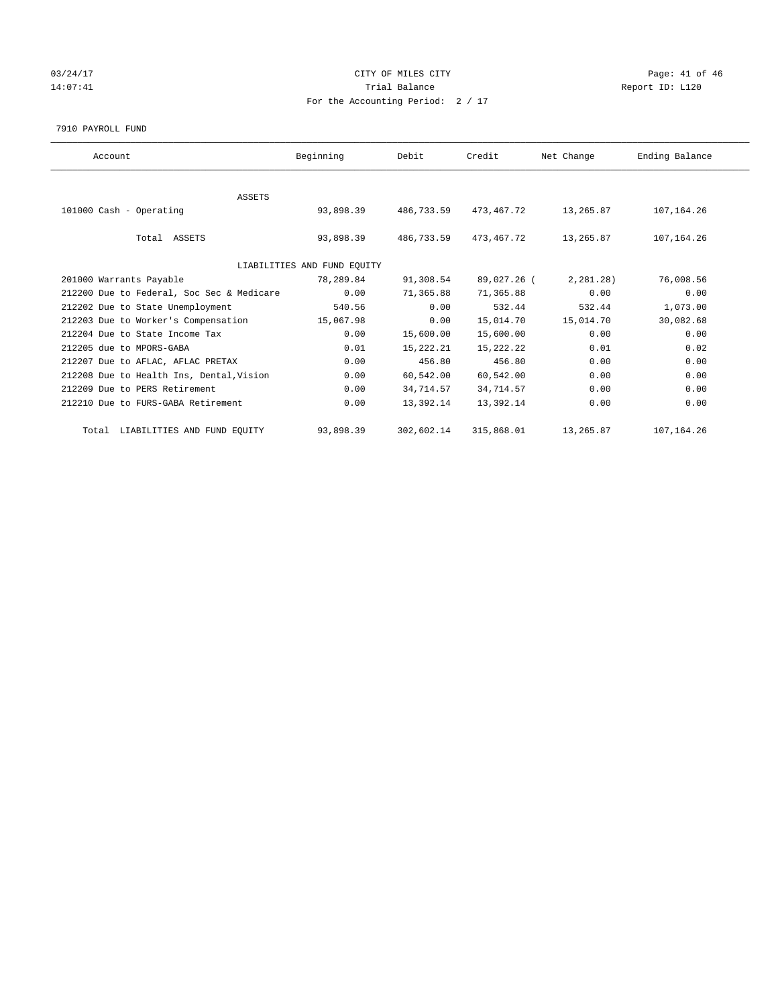# 03/24/17 Page: 41 of 46 14:07:41 CHEREN Report ID: L120 For the Accounting Period: 2 / 17

#### 7910 PAYROLL FUND

| Account                                   | Beginning                   | Debit      | Credit      | Net Change | Ending Balance |
|-------------------------------------------|-----------------------------|------------|-------------|------------|----------------|
|                                           |                             |            |             |            |                |
| <b>ASSETS</b>                             |                             |            |             |            |                |
| 101000 Cash - Operating                   | 93,898.39                   | 486,733.59 | 473,467.72  | 13,265.87  | 107,164.26     |
|                                           |                             |            |             |            |                |
| Total ASSETS                              | 93,898.39                   | 486,733.59 | 473,467.72  | 13,265.87  | 107, 164. 26   |
|                                           |                             |            |             |            |                |
|                                           | LIABILITIES AND FUND EQUITY |            |             |            |                |
| 201000 Warrants Payable                   | 78,289.84                   | 91,308.54  | 89,027.26 ( | 2,281.28)  | 76,008.56      |
| 212200 Due to Federal, Soc Sec & Medicare | 0.00                        | 71,365.88  | 71,365.88   | 0.00       | 0.00           |
| 212202 Due to State Unemployment          | 540.56                      | 0.00       | 532.44      | 532.44     | 1,073.00       |
| 212203 Due to Worker's Compensation       | 15,067.98                   | 0.00       | 15,014.70   | 15,014.70  | 30,082.68      |
| 212204 Due to State Income Tax            | 0.00                        | 15,600.00  | 15,600.00   | 0.00       | 0.00           |
| 212205 due to MPORS-GABA                  | 0.01                        | 15,222.21  | 15,222.22   | 0.01       | 0.02           |
| 212207 Due to AFLAC, AFLAC PRETAX         | 0.00                        | 456.80     | 456.80      | 0.00       | 0.00           |
| 212208 Due to Health Ins, Dental, Vision  | 0.00                        | 60,542.00  | 60,542.00   | 0.00       | 0.00           |
| 212209 Due to PERS Retirement             | 0.00                        | 34,714.57  | 34,714.57   | 0.00       | 0.00           |
| 212210 Due to FURS-GABA Retirement        | 0.00                        | 13,392.14  | 13,392.14   | 0.00       | 0.00           |
|                                           |                             |            |             |            |                |
| Total LIABILITIES AND FUND EQUITY         | 93,898.39                   | 302,602.14 | 315,868.01  | 13,265.87  | 107,164.26     |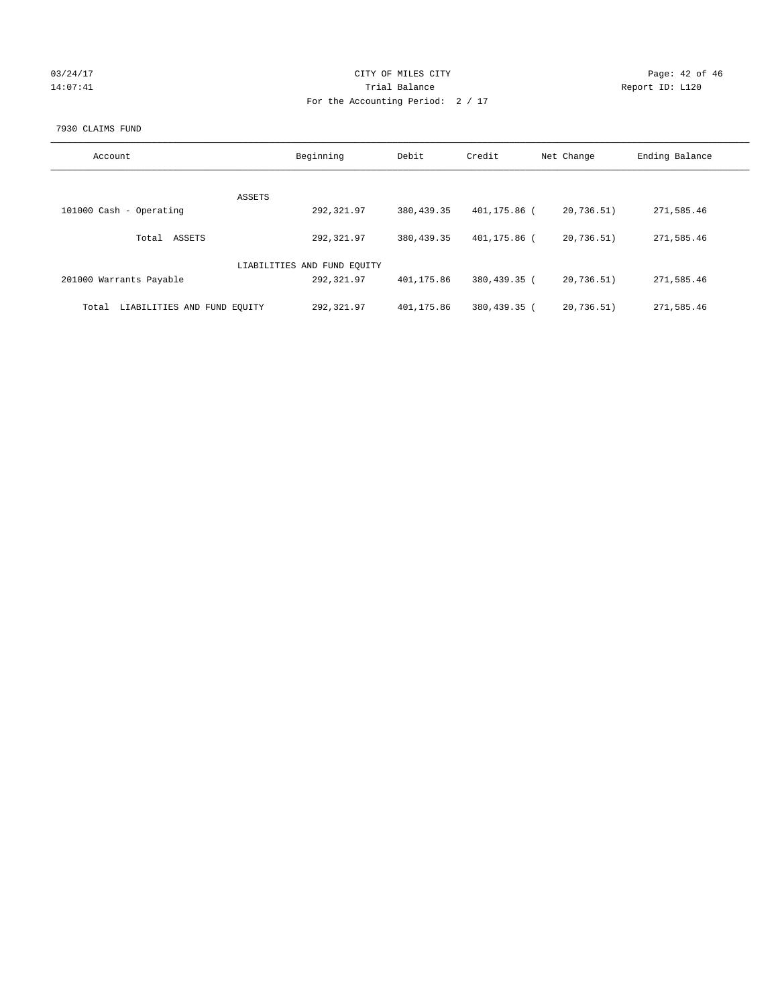| 03/24/17 |  |
|----------|--|
| 14:07:41 |  |

# CITY OF MILES CITY CONTROL CONTROL CITY CONTROL Page: 42 of 46 Partial Balance and Communications of the Report ID: L120 For the Accounting Period: 2 / 17

#### 7930 CLAIMS FUND

| Account                              | Beginning                   | Debit      | Credit       | Net Change | Ending Balance |
|--------------------------------------|-----------------------------|------------|--------------|------------|----------------|
| <b>ASSETS</b>                        |                             |            |              |            |                |
| 101000 Cash - Operating              | 292,321.97                  | 380,439.35 | 401,175.86 ( | 20,736.51) | 271,585.46     |
| ASSETS<br>Total                      | 292,321.97                  | 380,439.35 | 401,175.86 ( | 20,736.51) | 271,585.46     |
|                                      | LIABILITIES AND FUND EQUITY |            |              |            |                |
| 201000 Warrants Payable              | 292,321.97                  | 401,175.86 | 380,439.35 ( | 20,736.51) | 271,585.46     |
| LIABILITIES AND FUND EQUITY<br>Total | 292,321.97                  | 401,175.86 | 380,439.35 ( | 20,736.51) | 271,585.46     |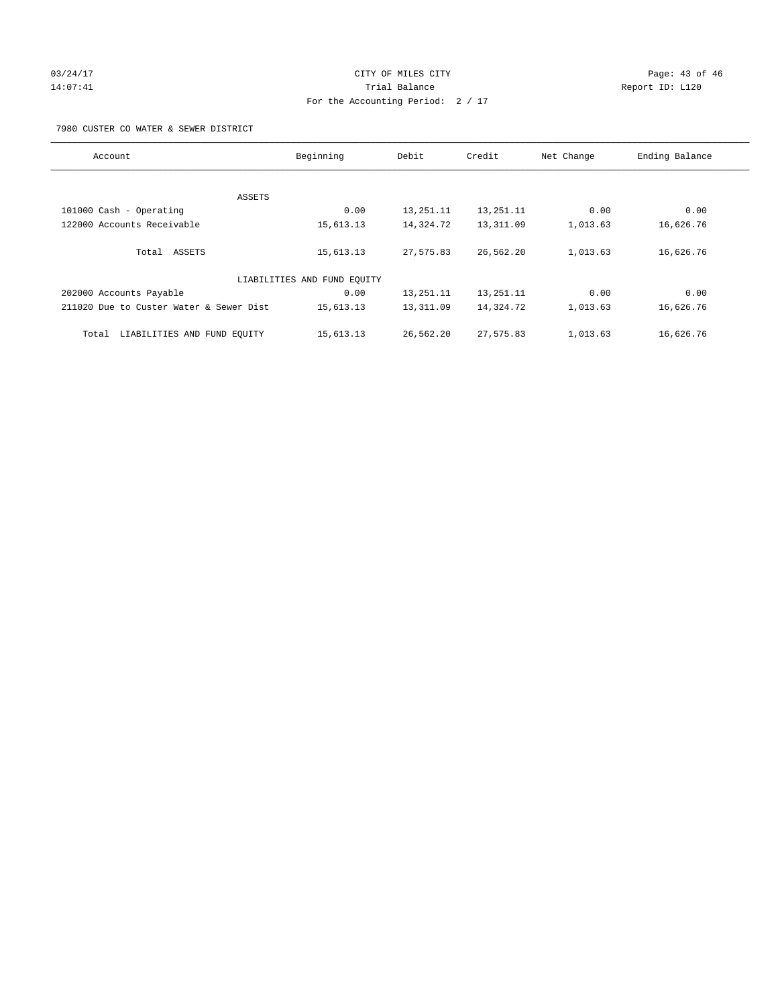# 03/24/17 Page: 43 of 46 14:07:41 Report ID: L120 For the Accounting Period: 2 / 17

7980 CUSTER CO WATER & SEWER DISTRICT

| Account                                 | Beginning                   | Debit       | Credit    | Net Change | Ending Balance |
|-----------------------------------------|-----------------------------|-------------|-----------|------------|----------------|
|                                         |                             |             |           |            |                |
| ASSETS                                  |                             |             |           |            |                |
| 101000 Cash - Operating                 | 0.00                        | 13, 251. 11 | 13,251.11 | 0.00       | 0.00           |
| 122000 Accounts Receivable              | 15,613.13                   | 14,324.72   | 13,311.09 | 1,013.63   | 16,626.76      |
| Total ASSETS                            | 15,613.13                   | 27,575.83   | 26,562.20 | 1,013.63   | 16,626.76      |
|                                         | LIABILITIES AND FUND EQUITY |             |           |            |                |
| 202000 Accounts Payable                 | 0.00                        | 13, 251. 11 | 13,251.11 | 0.00       | 0.00           |
| 211020 Due to Custer Water & Sewer Dist | 15,613.13                   | 13,311.09   | 14,324.72 | 1,013.63   | 16,626.76      |
| LIABILITIES AND FUND EQUITY<br>Total    | 15,613.13                   | 26,562.20   | 27,575.83 | 1,013.63   | 16,626.76      |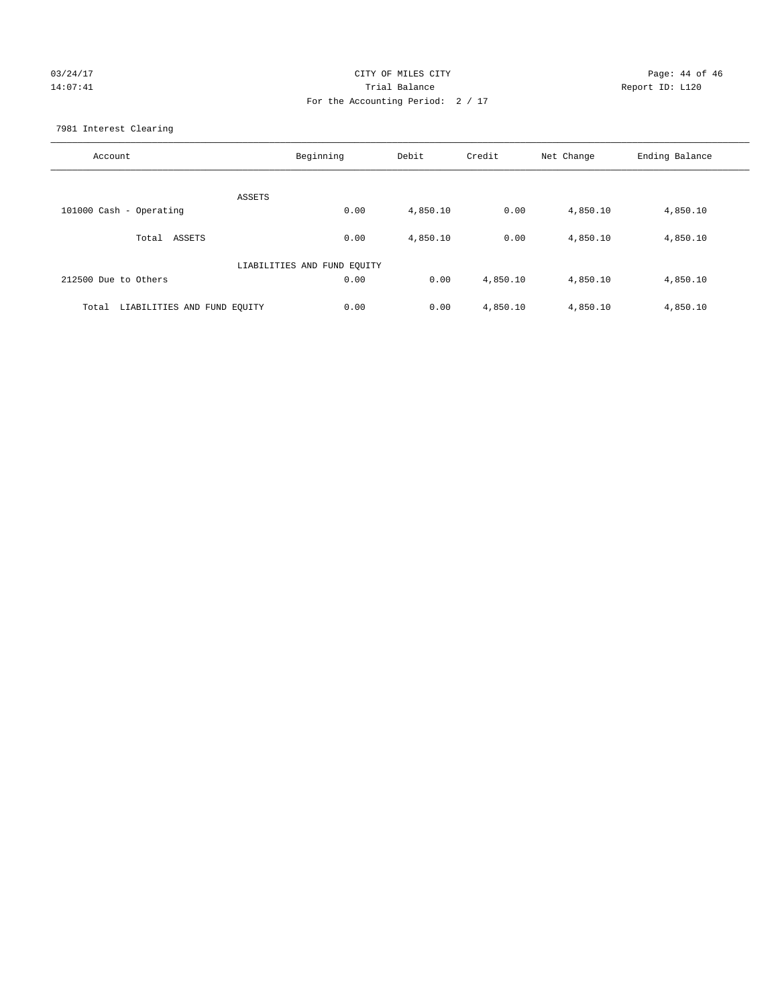# 03/24/17 Page: 44 of 46 14:07:41 Trial Balance Report ID: L120 For the Accounting Period: 2 / 17

7981 Interest Clearing

| Account                              | Beginning                   | Debit    | Credit   | Net Change | Ending Balance |
|--------------------------------------|-----------------------------|----------|----------|------------|----------------|
|                                      | ASSETS                      |          |          |            |                |
| 101000 Cash - Operating              | 0.00                        | 4,850.10 | 0.00     | 4,850.10   | 4,850.10       |
| Total ASSETS                         | 0.00                        | 4,850.10 | 0.00     | 4,850.10   | 4,850.10       |
|                                      | LIABILITIES AND FUND EQUITY |          |          |            |                |
| 212500 Due to Others                 | 0.00                        | 0.00     | 4,850.10 | 4,850.10   | 4,850.10       |
| LIABILITIES AND FUND EQUITY<br>Total | 0.00                        | 0.00     | 4,850.10 | 4,850.10   | 4,850.10       |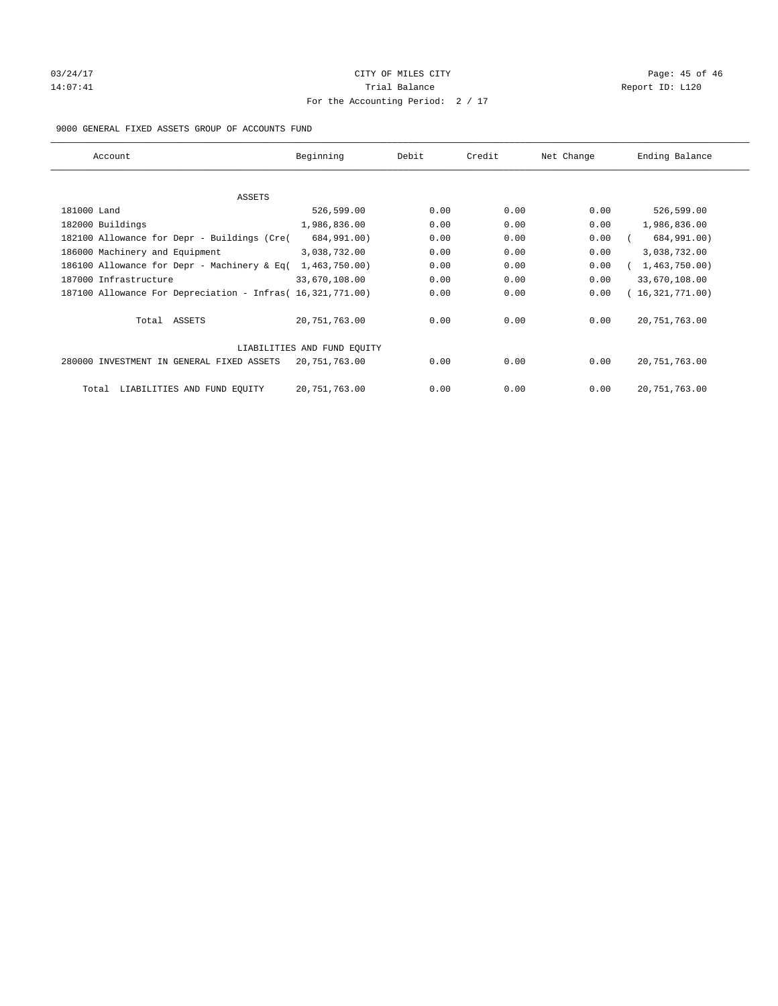# 03/24/17 Page: 45 of 46 Page: 45 of 46 Page: 45 of 46 Page: 45 of 46 Page: 45 of 46 14:07:41 CHEREN Report ID: L120 For the Accounting Period: 2 / 17

## 9000 GENERAL FIXED ASSETS GROUP OF ACCOUNTS FUND

| Account                                                    | Beginning                   | Debit | Credit | Net Change | Ending Balance  |
|------------------------------------------------------------|-----------------------------|-------|--------|------------|-----------------|
| ASSETS                                                     |                             |       |        |            |                 |
| 181000 Land                                                | 526,599.00                  | 0.00  | 0.00   | 0.00       | 526,599.00      |
| 182000 Buildings                                           | 1,986,836.00                | 0.00  | 0.00   | 0.00       | 1,986,836.00    |
| 182100 Allowance for Depr - Buildings (Cre(                | 684,991.00)                 | 0.00  | 0.00   | 0.00       | 684,991.00)     |
| 186000 Machinery and Equipment                             | 3,038,732.00                | 0.00  | 0.00   | 0.00       | 3,038,732.00    |
| 186100 Allowance for Depr - Machinery & Eq(                | 1,463,750.00)               | 0.00  | 0.00   | 0.00       | 1,463,750.00    |
| 187000 Infrastructure                                      | 33,670,108.00               | 0.00  | 0.00   | 0.00       | 33,670,108.00   |
| 187100 Allowance For Depreciation - Infras( 16,321,771.00) |                             | 0.00  | 0.00   | 0.00       | 16,321,771.00)  |
| Total ASSETS                                               | 20,751,763.00               | 0.00  | 0.00   | 0.00       | 20, 751, 763.00 |
|                                                            | LIABILITIES AND FUND EQUITY |       |        |            |                 |
| 280000 INVESTMENT IN GENERAL FIXED ASSETS                  | 20,751,763.00               | 0.00  | 0.00   | 0.00       | 20, 751, 763.00 |
| LIABILITIES AND FUND EQUITY<br>Total                       | 20,751,763.00               | 0.00  | 0.00   | 0.00       | 20, 751, 763.00 |